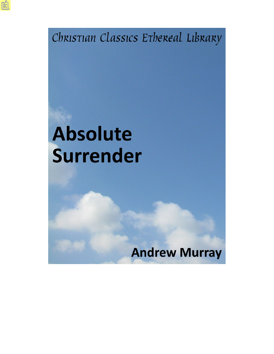Christian Classics Ethereal Library

# **Absolute Surrender**

**Andrew Murray**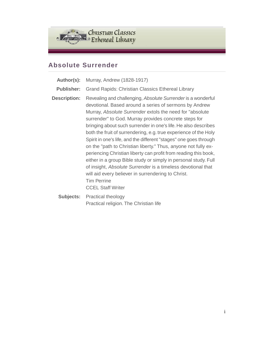

## **Absolute Surrender**

**Author(s):** Murray, Andrew (1828-1917) **Publisher:** Grand Rapids: Christian Classics Ethereal Library **Description:** Revealing and challenging, *Absolute Surrender* is a wonderful devotional. Based around a series of sermons by Andrew Murray, *Absolute Surrender* extols the need for "absolute surrender" to God. Murray provides concrete steps for bringing about such surrender in one's life. He also describes both the fruit of surrendering, e.g. true experience of the Holy Spirit in one's life, and the different "stages" one goes through on the "path to Christian liberty." Thus, anyone not fully experiencing Christian liberty can profit from reading this book, either in a group Bible study or simply in personal study. Full of insight, *Absolute Surrender* is a timeless devotional that will aid every believer in surrendering to Christ. Tim Perrine CCEL Staff Writer **Subjects:** Practical theology

Practical religion. The Christian life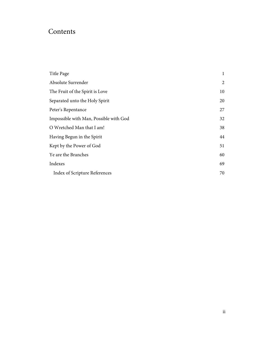# Contents

| Title Page                             | 1  |
|----------------------------------------|----|
| Absolute Surrender                     | 2  |
| The Fruit of the Spirit is Love        | 10 |
| Separated unto the Holy Spirit         | 20 |
| Peter's Repentance                     | 27 |
| Impossible with Man, Possible with God | 32 |
| O Wretched Man that I am!              | 38 |
| Having Begun in the Spirit             | 44 |
| Kept by the Power of God               | 51 |
| Ye are the Branches                    | 60 |
| Indexes                                | 69 |
| Index of Scripture References          | 70 |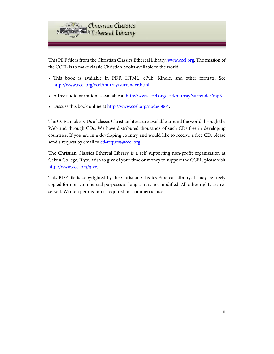

This PDF file is from the Christian Classics Ethereal Library, [www.ccel.org.](http://www.ccel.org) The mission of the CCEL is to make classic Christian books available to the world.

- This book is available in PDF, HTML, ePub, Kindle, and other formats. See [http://www.ccel.org/ccel/murray/surrender.html.](http://www.ccel.org/ccel/murray/surrender.html)
- A free audio narration is available at<http://www.ccel.org/ccel/murray/surrender/mp3>.
- Discuss this book online at [http://www.ccel.org/node/3064.](http://www.ccel.org/node/3064)

The CCEL makes CDs of classic Christian literature available around the world through the Web and through CDs. We have distributed thousands of such CDs free in developing countries. If you are in a developing country and would like to receive a free CD, please send a request by email to [cd-request@ccel.org.](mailto:cd-request@ccel.org)

The Christian Classics Ethereal Library is a self supporting non-profit organization at Calvin College. If you wish to give of your time or money to support the CCEL, please visit [http://www.ccel.org/give.](http://www.ccel.org/give)

This PDF file is copyrighted by the Christian Classics Ethereal Library. It may be freely copied for non-commercial purposes as long as it is not modified. All other rights are reserved. Written permission is required for commercial use.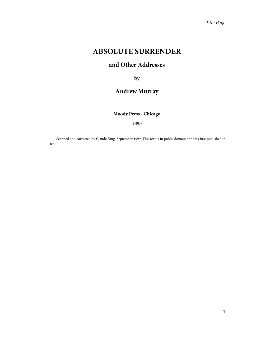## <span id="page-4-0"></span>**ABSOLUTE SURRENDER**

## **and Other Addresses**

**by**

## **Andrew Murray**

## **Moody Press - Chicago**

**1895**

Scanned and corrected by Claude King, September 1999. This text is in public domain and was first published in 1895.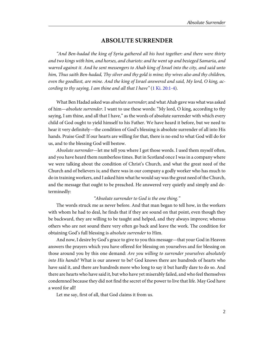#### **ABSOLUTE SURRENDER**

<span id="page-5-0"></span>"And Ben-hadad the king of Syria gathered all his host together: and there were thirty and two kings with him, and horses, and chariots: and he went up and besieged Samaria, and warred against it. And he sent messengers to Ahab king of Israel into the city, and said unto him, Thus saith Ben-hadad, Thy silver and thy gold is mine; thy wives also and thy children, even the goodliest, are mine. And the king of Israel answered and said, My lord, O king, according to thy saying, I am thine and all that I have"  $(1$  Ki. 20:1-4).

What Ben Hadad asked was *absolute surrender*; and what Ahab gave was what was asked of him—absolute surrender. I want to use these words: "My lord, O king, according to thy saying, I am thine, and all that I have," as the words of absolute surrender with which every child of God ought to yield himself to his Father. We have heard it before, but we need to hear it very definitely—the condition of God's blessing is absolute surrender of all into His hands. Praise God! If our hearts are willing for that, there is no end to what God will do for us, and to the blessing God will bestow.

Absolute surrender—let me tell you where I got those words. I used them myself often, and you have heard them numberless times. But in Scotland once I was in a company where we were talking about the condition of Christ's Church, and what the great need of the Church and of believers is; and there was in our company a godly worker who has much to do in training workers, and I asked him what he would say was the great need of the Church, and the message that ought to be preached. He answered very quietly and simply and determinedly:

#### "Absolute surrender to God is the one thing."

The words struck me as never before. And that man began to tell how, in the workers with whom he had to deal, he finds that if they are sound on that point, even though they be backward, they are willing to be taught and helped, and they always improve; whereas others who are not sound there very often go back and leave the work. The condition for obtaining God's full blessing is absolute surrender to Him.

And now, I desire by God's grace to give to you this message—that your God in Heaven answers the prayers which you have offered for blessing on yourselves and for blessing on those around you by this one demand: Are you willing to surrender yourselves absolutely into His hands? What is our answer to be? God knows there are hundreds of hearts who have said it, and there are hundreds more who long to say it but hardly dare to do so. And there are hearts who have said it, but who have yet miserably failed, and who feel themselves condemned because they did not find the secret of the power to live that life. May God have a word for all!

Let me say, first of all, that God claims it from us.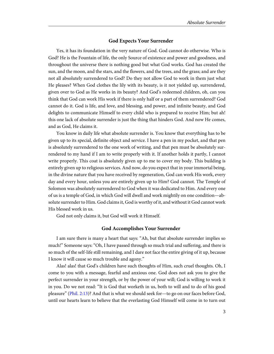#### **God Expects Your Surrender**

Yes, it has its foundation in the very nature of God. God cannot do otherwise. Who is God? He is the Fountain of life, the only Source of existence and power and goodness, and throughout the universe there is nothing good but what God works. God has created the sun, and the moon, and the stars, and the flowers, and the trees, and the grass; and are they not all absolutely surrendered to God? Do they not allow God to work in them just what He pleases? When God clothes the lily with its beauty, is it not yielded up, surrendered, given over to God as He works in its beauty? And God's redeemed children, oh, can you think that God can work His work if there is only half or a part of them surrendered? God cannot do it. God is life, and love, and blessing, and power, and infinite beauty, and God delights to communicate Himself to every child who is prepared to receive Him; but ah! this one lack of absolute surrender is just the thing that hinders God. And now He comes, and as God, He claims it.

You know in daily life what absolute surrender is. You know that everything has to be given up to its special, definite object and service. I have a pen in my pocket, and that pen is absolutely surrendered to the one work of writing, and that pen must be absolutely surrendered to my hand if I am to write properly with it. If another holds it partly, I cannot write properly. This coat is absolutely given up to me to cover my body. This building is entirely given up to religious services. And now, do you expect that in your immortal being, in the divine nature that you have received by regeneration, God can work His work, every day and every hour, unless you are entirely given up to Him? God cannot. The Temple of Solomon was absolutely surrendered to God when it was dedicated to Him. And every one of us is a temple of God, in which God will dwell and work mightily on one condition—absolute surrender to Him. God claims it, God is worthy of it, and without it God cannot work His blessed work in us.

God not only claims it, but God will work it Himself.

#### **God Accomplishes Your Surrender**

I am sure there is many a heart that says: "Ah, but that absolute surrender implies so much!" Someone says: "Oh, I have passed through so much trial and suffering, and there is so much of the self-life still remaining, and I dare not face the entire giving of it up, because I know it will cause so much trouble and agony."

Alas! alas! that God's children have such thoughts of Him, such cruel thoughts. Oh, I come to you with a message, fearful and anxious one. God does not ask you to give the perfect surrender in your strength, or by the power of your will; God is willing to work it in you. Do we not read: "It is God that worketh in us, both to will and to do of his good pleasure" [\(Phil. 2:13](http://www.ccel.org/study/Bible:Phil.2.13))? And that is what we should seek for—to go on our faces before God, until our hearts learn to believe that the everlasting God Himself will come in to turn out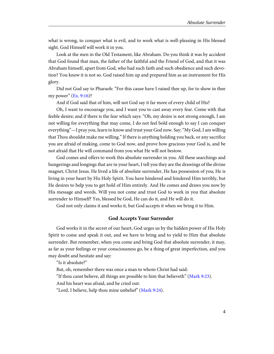what is wrong, to conquer what is evil, and to work what is well-pleasing in His blessed sight. God Himself will work it in you.

Look at the men in the Old Testament, like Abraham. Do you think it was by accident that God found that man, the father of the faithful and the Friend of God, and that it was Abraham himself, apart from God, who had such faith and such obedience and such devotion? You know it is not so. God raised him up and prepared him as an instrument for His glory.

Did not God say to Pharaoh: "For this cause have I raised thee up, for to show in thee my power" ([Ex. 9:16\)](http://www.ccel.org/study/Bible:Exod.9.16)?

And if God said that of him, will not God say it far more of every child of His?

Oh, I want to encourage you, and I want you to cast away every fear. Come with that feeble desire; and if there is the fear which says: "Oh, my desire is not strong enough, I am not willing for everything that may come, I do not feel bold enough to say I can conquer everything"—I pray you, learn to know and trust your God now. Say: "My God, I am willing that Thou shouldst make me willing." If there is anything holding you back, or any sacrifice you are afraid of making, come to God now, and prove how gracious your God is, and be not afraid that He will command from you what He will not bestow.

God comes and offers to work this absolute surrender in you. All these searchings and hungerings and longings that are in your heart, I tell you they are the drawings of the divine magnet, Christ Jesus. He lived a life of absolute surrender, He has possession of you; He is living in your heart by His Holy Spirit. You have hindered and hindered Him terribly, but He desires to help you to get hold of Him entirely. And He comes and draws you now by His message and words. Will you not come and trust God to work in you that absolute surrender to Himself? Yes, blessed be God, He can do it, and He will do it.

God not only claims it and works it, but God accepts it when we bring it to Him.

#### **God Accepts Your Surrender**

God works it in the secret of our heart, God urges us by the hidden power of His Holy Spirit to come and speak it out, and we have to bring and to yield to Him that absolute surrender. But remember, when you come and bring God that absolute surrender, it may, as far as your feelings or your consciousness go, be a thing of great imperfection, and you may doubt and hesitate and say:

"Is it absolute?"

But, oh, remember there was once a man to whom Christ had said:

"If thou canst believe, all things are possible to him that believeth" ([Mark 9:23\)](http://www.ccel.org/study/Bible:Mark.9.23).

And his heart was afraid, and he cried out:

"Lord, I believe, help thou mine unbelief" ([Mark 9:24\)](http://www.ccel.org/study/Bible:Mark.9.24).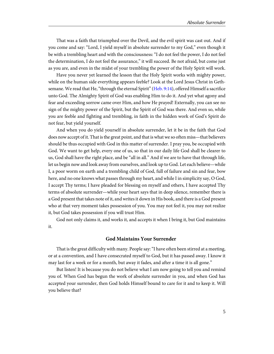That was a faith that triumphed over the Devil, and the evil spirit was cast out. And if you come and say: "Lord, I yield myself in absolute surrender to my God," even though it be with a trembling heart and with the consciousness: "I do not feel the power, I do not feel the determination, I do not feel the assurance," it will succeed. Be not afraid, but come just as you are, and even in the midst of your trembling the power of the Holy Spirit will work.

Have you never yet learned the lesson that the Holy Spirit works with mighty power, while on the human side everything appears feeble? Look at the Lord Jesus Christ in Geth-semane. We read that He, "through the eternal Spirit" [\(Heb. 9:14](http://www.ccel.org/study/Bible:Heb.9.14)), offered Himself a sacrifice unto God. The Almighty Spirit of God was enabling Him to do it. And yet what agony and fear and exceeding sorrow came over Him, and how He prayed! Externally, you can see no sign of the mighty power of the Spirit, but the Spirit of God was there. And even so, while you are feeble and fighting and trembling, in faith in the hidden work of God's Spirit do not fear, but yield yourself.

And when you do yield yourself in absolute surrender, let it be in the faith that God does now accept of it. That is the great point, and that is what we so often miss—that believers should be thus occupied with God in this matter of surrender. I pray you, be occupied with God. We want to get help, every one of us, so that in our daily life God shall be clearer to us, God shall have the right place, and be "all in all." And if we are to have that through life, let us begin now and look away from ourselves, and look up to God. Let each believe—while I, a poor worm on earth and a trembling child of God, full of failure and sin and fear, bow here, and no one knows what passes through my heart, and while I in simplicity say, O God, I accept Thy terms; I have pleaded for blessing on myself and others, I have accepted Thy terms of absolute surrender—while your heart says that in deep silence, remember there is a God present that takes note of it, and writes it down in His book, and there is a God present who at that very moment takes possession of you. You may not feel it, you may not realize it, but God takes possession if you will trust Him.

God not only claims it, and works it, and accepts it when I bring it, but God maintains it.

#### **God Maintains Your Surrender**

That is the great difficulty with many. People say: "I have often been stirred at a meeting, or at a convention, and I have consecrated myself to God, but it has passed away. I know it may last for a week or for a month, but away it fades, and after a time it is all gone."

But listen! It is because you do not believe what I am now going to tell you and remind you of. When God has begun the work of absolute surrender in you, and when God has accepted your surrender, then God holds Himself bound to care for it and to keep it. Will you believe that?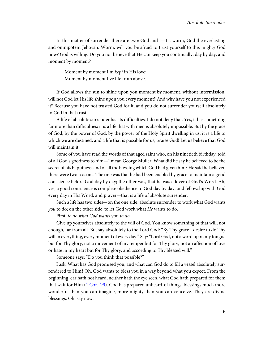In this matter of surrender there are two: God and I—I a worm, God the everlasting and omnipotent Jehovah. Worm, will you be afraid to trust yourself to this mighty God now? God is willing. Do you not believe that He can keep you continually, day by day, and moment by moment?

Moment by moment I'm kept in His love; Moment by moment I've life from above.

If God allows the sun to shine upon you moment by moment, without intermission, will not God let His life shine upon you every moment? And why have you not experienced it? Because you have not trusted God for it, and you do not surrender yourself absolutely to God in that trust.

A life of absolute surrender has its difficulties. I do not deny that. Yes, it has something far more than difficulties: it is a life that with men is absolutely impossible. But by the grace of God, by the power of God, by the power of the Holy Spirit dwelling in us, it is a life to which we are destined, and a life that is possible for us, praise God! Let us believe that God will maintain it.

Some of you have read the words of that aged saint who, on his ninetieth birthday, told of all God's goodness to him—I mean George Muller. What did he say he believed to be the secret of his happiness, and of all the blessing which God had given him? He said he believed there were two reasons. The one was that he had been enabled by grace to maintain a good conscience before God day by day; the other was, that he was a lover of God's Word. Ah, yes, a good conscience is complete obedience to God day by day, and fellowship with God every day in His Word, and prayer—that is a life of absolute surrender.

Such a life has two sides—on the one side, absolute surrender to work what God wants you to do; on the other side, to let God work what He wants to do.

First, to do what God wants you to do.

Give up yourselves absolutely to the will of God. You know something of that will; not enough, far from all. But say absolutely to the Lord God: "By Thy grace I desire to do Thy will in everything, every moment of every day." Say: "Lord God, not a word upon my tongue but for Thy glory, not a movement of my temper but for Thy glory, not an affection of love or hate in my heart but for Thy glory, and according to Thy blessed will."

Someone says: "Do you think that possible?"

I ask, What has God promised you, and what can God do to fill a vessel absolutely surrendered to Him? Oh, God wants to bless you in a way beyond what you expect. From the beginning, ear hath not heard, neither hath the eye seen, what God hath prepared for them that wait for Him ([1 Cor. 2:9\)](http://www.ccel.org/study/Bible:1Cor.2.9). God has prepared unheard-of things, blessings much more wonderful than you can imagine, more mighty than you can conceive. They are divine blessings. Oh, say now: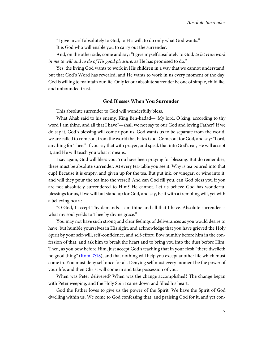"I give myself absolutely to God, to His will, to do only what God wants."

It is God who will enable you to carry out the surrender.

And, on the other side, come and say: "I give myself absolutely to God, to let Him work in me to will and to do of His good pleasure, as He has promised to do."

Yes, the living God wants to work in His children in a way that we cannot understand, but that God's Word has revealed, and He wants to work in us every moment of the day. God is willing to maintain our life. Only let our absolute surrender be one of simple, childlike, and unbounded trust.

#### **God Blesses When You Surrender**

This absolute surrender to God will wonderfully bless.

What Ahab said to his enemy, King Ben-hadad—"My lord, O king, according to thy word I am thine, and all that I have"—shall we not say to our God and loving Father? If we do say it, God's blessing will come upon us. God wants us to be separate from the world; we are called to come out from the world that hates God. Come out for God, and say: "Lord, anything for Thee." If you say that with prayer, and speak that into God's ear, He will accept it, and He will teach you what it means.

I say again, God will bless you. You have been praying for blessing. But do remember, there must be absolute surrender. At every tea-table you see it. Why is tea poured into that cup? Because it is empty, and given up for the tea. But put ink, or vinegar, or wine into it, and will they pour the tea into the vessel? And can God fill you, can God bless you if you are not absolutely surrendered to Him? He cannot. Let us believe God has wonderful blessings for us, if we will but stand up for God, and say, be it with a trembling will, yet with a believing heart:

"O God, I accept Thy demands. I am thine and all that I have. Absolute surrender is what my soul yields to Thee by divine grace."

You may not have such strong and clear feelings of deliverances as you would desire to have, but humble yourselves in His sight, and acknowledge that you have grieved the Holy Spirit by your self-will, self-confidence, and self-effort. Bow humbly before him in the confession of that, and ask him to break the heart and to bring you into the dust before Him. Then, as you bow before Him, just accept God's teaching that in your flesh "there dwelleth no good thing" [\(Rom. 7:18](http://www.ccel.org/study/Bible:Rom.7.18)), and that nothing will help you except another life which must come in. You must deny self once for all. Denying self must every moment be the power of your life, and then Christ will come in and take possession of you.

When was Peter delivered? When was the change accomplished? The change began with Peter weeping, and the Holy Spirit came down and filled his heart.

God the Father loves to give us the power of the Spirit. We have the Spirit of God dwelling within us. We come to God confessing that, and praising God for it, and yet con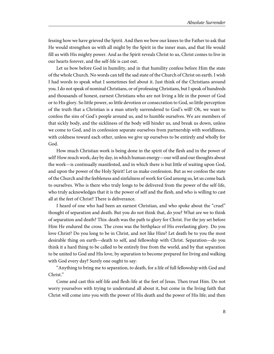fessing how we have grieved the Spirit. And then we bow our knees to the Father to ask that He would strengthen us with all might by the Spirit in the inner man, and that He would fill us with His mighty power. And as the Spirit reveals Christ to us, Christ comes to live in our hearts forever, and the self-life is cast out.

Let us bow before God in humility, and in that humility confess before Him the state of the whole Church. No words can tell the sad state of the Church of Christ on earth. I wish I had words to speak what I sometimes feel about it. Just think of the Christians around you. I do not speak of nominal Christians, or of professing Christians, but I speak of hundreds and thousands of honest, earnest Christians who are not living a life in the power of God or to His glory. So little power, so little devotion or consecration to God, so little perception of the truth that a Christian is a man utterly surrendered to God's will! Oh, we want to confess the sins of God's people around us, and to humble ourselves. We are members of that sickly body, and the sickliness of the body will hinder us, and break us down, unless we come to God, and in confession separate ourselves from partnership with worldliness, with coldness toward each other, unless we give up ourselves to be entirely and wholly for God.

How much Christian work is being done in the spirit of the flesh and in the power of self! How much work, day by day, in which human energy—our will and our thoughts about the work—is continually manifested, and in which there is but little of waiting upon God, and upon the power of the Holy Spirit! Let us make confession. But as we confess the state of the Church and the feebleness and sinfulness of work for God among us, let us come back to ourselves. Who is there who truly longs to be delivered from the power of the self-life, who truly acknowledges that it is the power of self and the flesh, and who is willing to cast all at the feet of Christ? There is deliverance.

I heard of one who had been an earnest Christian, and who spoke about the "cruel" thought of separation and death. But you do not think that, do you? What are we to think of separation and death? This: death was the path to glory for Christ. For the joy set before Him He endured the cross. The cross was the birthplace of His everlasting glory. Do you love Christ? Do you long to be in Christ, and not like Him? Let death be to you the most desirable thing on earth—death to self, and fellowship with Christ. Separation—do you think it a hard thing to be called to be entirely free from the world, and by that separation to be united to God and His love, by separation to become prepared for living and walking with God every day? Surely one ought to say:

"Anything to bring me to separation, to death, for a life of full fellowship with God and Christ."

Come and cast this self-life and flesh-life at the feet of Jesus. Then trust Him. Do not worry yourselves with trying to understand all about it, but come in the living faith that Christ will come into you with the power of His death and the power of His life; and then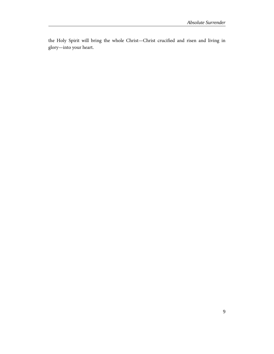the Holy Spirit will bring the whole Christ—Christ crucified and risen and living in glory—into your heart.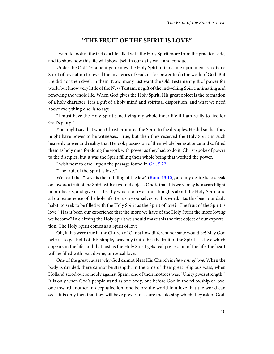## **"THE FRUIT OF THE SPIRIT IS LOVE"**

<span id="page-13-0"></span>I want to look at the fact of a life filled with the Holy Spirit more from the practical side, and to show how this life will show itself in our daily walk and conduct.

Under the Old Testament you know the Holy Spirit often came upon men as a divine Spirit of revelation to reveal the mysteries of God, or for power to do the work of God. But He did not then dwell in them. Now, many just want the Old Testament gift of power for work, but know very little of the New Testament gift of the indwelling Spirit, animating and renewing the whole life. When God gives the Holy Spirit, His great object is the formation of a holy character. It is a gift of a holy mind and spiritual disposition, and what we need above everything else, is to say:

"I must have the Holy Spirit sanctifying my whole inner life if I am really to live for God's glory."

You might say that when Christ promised the Spirit to the disciples, He did so that they might have power to be witnesses. True, but then they received the Holy Spirit in such heavenly power and reality that He took possession of their whole being at once and so fitted them as holy men for doing the work with power as they had to do it. Christ spoke of power to the disciples, but it was the Spirit filling their whole being that worked the power.

I wish now to dwell upon the passage found in [Gal. 5:22:](http://www.ccel.org/study/Bible:Gal.5.22)

"The fruit of the Spirit is love."

We read that "Love is the fulfilling of the law" [\(Rom. 13:10\)](http://www.ccel.org/study/Bible:Rom.13.10), and my desire is to speak on love as a fruit of the Spirit with a twofold object. One is that this word may be a searchlight in our hearts, and give us a test by which to try all our thoughts about the Holy Spirit and all our experience of the holy life. Let us try ourselves by this word. Has this been our daily habit, to seek to be filled with the Holy Spirit as the Spirit of love? "The fruit of the Spirit is love." Has it been our experience that the more we have of the Holy Spirit the more loving we become? In claiming the Holy Spirit we should make this the first object of our expectation. The Holy Spirit comes as a Spirit of love.

Oh, if this were true in the Church of Christ how different her state would be! May God help us to get hold of this simple, heavenly truth that the fruit of the Spirit is a love which appears in the life, and that just as the Holy Spirit gets real possession of the life, the heart will be filled with real, divine, universal love.

One of the great causes why God cannot bless His Church is the want of love. When the body is divided, there cannot be strength. In the time of their great religious wars, when Holland stood out so nobly against Spain, one of their mottoes was: "Unity gives strength." It is only when God's people stand as one body, one before God in the fellowship of love, one toward another in deep affection, one before the world in a love that the world can see—it is only then that they will have power to secure the blessing which they ask of God.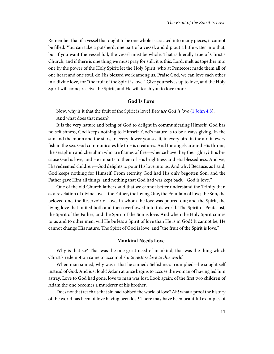Remember that if a vessel that ought to be one whole is cracked into many pieces, it cannot be filled. You can take a potsherd, one part of a vessel, and dip out a little water into that, but if you want the vessel full, the vessel must be whole. That is literally true of Christ's Church, and if there is one thing we must pray for still, it is this: Lord, melt us together into one by the power of the Holy Spirit; let the Holy Spirit, who at Pentecost made them all of one heart and one soul, do His blessed work among us. Praise God, we can love each other in a divine love, for "the fruit of the Spirit is love." Give yourselves up to love, and the Holy Spirit will come; receive the Spirit, and He will teach you to love more.

#### **God Is Love**

Now, why is it that the fruit of the Spirit is love? Because God is love [\(1 John 4:8\)](http://www.ccel.org/study/Bible:1John.4.8). And what does that mean?

It is the very nature and being of God to delight in communicating Himself. God has no selfishness, God keeps nothing to Himself. God's nature is to be always giving. In the sun and the moon and the stars, in every flower you see it, in every bird in the air, in every fish in the sea. God communicates life to His creatures. And the angels around His throne, the seraphim and cherubim who are flames of fire—whence have they their glory? It is because God is love, and He imparts to them of His brightness and His blessedness. And we, His redeemed children—God delights to pour His love into us. And why? Because, as I said, God keeps nothing for Himself. From eternity God had His only begotten Son, and the Father gave Him all things, and nothing that God had was kept back. "God is love."

One of the old Church fathers said that we cannot better understand the Trinity than as a revelation of divine love—the Father, the loving One, the Fountain of love; the Son, the beloved one, the Reservoir of love, in whom the love was poured out; and the Spirit, the living love that united both and then overflowed into this world. The Spirit of Pentecost, the Spirit of the Father, and the Spirit of the Son is love. And when the Holy Spirit comes to us and to other men, will He be less a Spirit of love than He is in God? It cannot be; He cannot change His nature. The Spirit of God is love, and "the fruit of the Spirit is love."

#### **Mankind Needs Love**

Why is that so? That was the one great need of mankind, that was the thing which Christ's redemption came to accomplish: to restore love to this world.

When man sinned, why was it that he sinned? Selfishness triumphed—he sought self instead of God. And just look! Adam at once begins to accuse the woman of having led him astray. Love to God had gone, love to man was lost. Look again: of the first two children of Adam the one becomes a murderer of his brother.

Does not that teach us that sin had robbed the world of love? Ah! what a proof the history of the world has been of love having been lost! There may have been beautiful examples of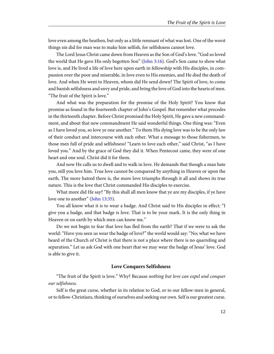love even among the heathen, but only as a little remnant of what was lost. One of the worst things sin did for man was to make him selfish, for selfishness cannot love.

The Lord Jesus Christ came down from Heaven as the Son of God's love. "God so loved the world that He gave His only begotten Son" [\(John 3:16](http://www.ccel.org/study/Bible:John.3.16)). God's Son came to show what love is, and He lived a life of love here upon earth in fellowship with His disciples, in compassion over the poor and miserable, in love even to His enemies, and He died the death of love. And when He went to Heaven, whom did He send down? The Spirit of love, to come and banish selfishness and envy and pride, and bring the love of God into the hearts of men. "The fruit of the Spirit is love."

And what was the preparation for the promise of the Holy Spirit? You know that promise as found in the fourteenth chapter of John's Gospel. But remember what precedes in the thirteenth chapter. Before Christ promised the Holy Spirit, He gave a new commandment, and about that new commandment He said wonderful things. One thing was: "Even as I have loved you, so love ye one another." To them His dying love was to be the only law of their conduct and intercourse with each other. What a message to those fishermen, to those men full of pride and selfishness! "Learn to love each other," said Christ, "as I have loved you." And by the grace of God they did it. When Pentecost came, they were of one heart and one soul. Christ did it for them.

And now He calls us to dwell and to walk in love. He demands that though a man hate you, still you love him. True love cannot be conquered by anything in Heaven or upon the earth. The more hatred there is, the more love triumphs through it all and shows its true nature. This is the love that Christ commanded His disciples to exercise.

What more did He say? "By this shall all men know that ye are my disciples, if ye have love one to another" [\(John 13:35](http://www.ccel.org/study/Bible:John.13.35)).

You all know what it is to wear a badge. And Christ said to His disciples in effect: "I give you a badge, and that badge is love. That is to be your mark. It is the only thing in Heaven or on earth by which men can know me."

Do we not begin to fear that love has fled from the earth? That if we were to ask the world: "Have you seen us wear the badge of love?" the world would say: "No; what we have heard of the Church of Christ is that there is not a place where there is no quarreling and separation." Let us ask God with one heart that we may wear the badge of Jesus' love. God is able to give it.

#### **Love Conquers Selfishness**

"The fruit of the Spirit is love." Why? Because nothing but love can expel and conquer our selfishness.

Self is the great curse, whether in its relation to God, or to our fellow-men in general, or to fellow-Christians, thinking of ourselves and seeking our own. Self is our greatest curse.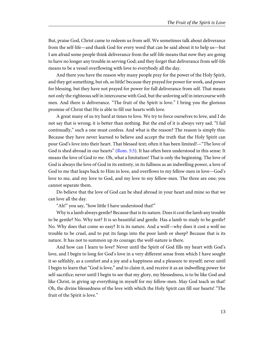But, praise God, Christ came to redeem us from self. We sometimes talk about deliverance from the self-life—and thank God for every word that can be said about it to help us—but I am afraid some people think deliverance from the self-life means that now they are going to have no longer any trouble in serving God; and they forget that deliverance from self-life means to be a vessel overflowing with love to everybody all the day.

And there you have the reason why many people pray for the power of the Holy Spirit, and they get something, but oh, so little! because they prayed for power for work, and power for blessing, but they have not prayed for power for full deliverance from self. That means not only the righteous self in intercourse with God, but the unloving self in intercourse with men. And there is deliverance. "The fruit of the Spirit is love." I bring you the glorious promise of Christ that He is able to fill our hearts with love.

A great many of us try hard at times to love. We try to force ourselves to love, and I do not say that is wrong; it is better than nothing. But the end of it is always very sad. "I fail continually," such a one must confess. And what is the reason? The reason is simply this: Because they have never learned to believe and accept the truth that the Holy Spirit can pour God's love into their heart. That blessed text; often it has been limited!—"The love of God is shed abroad in our hearts" ([Rom. 5:5](http://www.ccel.org/study/Bible:Rom.5.5)). It has often been understood in this sense: It means the love of God *to me*. Oh, what a limitation! That is only the beginning. The love of God is always the love of God in its entirety, in its fullness as an indwelling power, a love of God to me that leaps back to Him in love, and overflows to my fellow-men in love—God's love to me, and my love to God, and my love to my fellow-men. The three are one; you cannot separate them.

Do believe that the love of God can be shed abroad in your heart and mine so that we can love all the day.

"Ah!" you say, "how little I have understood that!"

Why is a lamb always gentle? Because that is its nature. Does it cost the lamb any trouble to be gentle? No. Why not? It is so beautiful and gentle. Has a lamb to study to be gentle? No. Why does that come so easy? It is its nature. And a wolf—why does it cost a wolf no trouble to be cruel, and to put its fangs into the poor lamb or sheep? Because that is its nature. It has not to summon up its courage; the wolf-nature is there.

And how can I learn to love? Never until the Spirit of God fills my heart with God's love, and I begin to long for God's love in a very different sense from which I have sought it so selfishly, as a comfort and a joy and a happiness and a pleasure to myself; never until I begin to learn that "God is love," and to claim it, and receive it as an indwelling power for self-sacrifice; never until I begin to see that my glory, my blessedness, is to be like God and like Christ, in giving up everything in myself for my fellow-men. May God teach us that! Oh, the divine blessedness of the love with which the Holy Spirit can fill our hearts! "The fruit of the Spirit is love."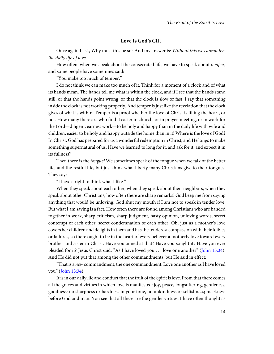#### **Love Is God's Gift**

Once again I ask, Why must this be so? And my answer is: Without this we cannot live the daily life of love.

How often, when we speak about the consecrated life, we have to speak about *temper*, and some people have sometimes said:

"You make too much of temper."

I do not think we can make too much of it. Think for a moment of a clock and of what its hands mean. The hands tell me what is within the clock, and if I see that the hands stand still, or that the hands point wrong, or that the clock is slow or fast, I say that something inside the clock is not working properly. And temper is just like the revelation that the clock gives of what is within. Temper is a proof whether the love of Christ is filling the heart, or not. How many there are who find it easier in church, or in prayer-meeting, or in work for the Lord—diligent, earnest work—to be holy and happy than in the daily life with wife and children; easier to be holy and happy outside the home than in it! Where is the love of God? In Christ. God has prepared for us a wonderful redemption in Christ, and He longs to make something supernatural of us. Have we learned to long for it, and ask for it, and expect it in its fullness?

Then there is the *tongue!* We sometimes speak of the tongue when we talk of the better life, and the restful life, but just think what liberty many Christians give to their tongues. They say:

"I have a right to think what I like."

When they speak about each other, when they speak about their neighbors, when they speak about other Christians, how often there are sharp remarks! God keep me from saying anything that would be unloving; God shut my mouth if I am not to speak in tender love. But what I am saying is a fact. How often there are found among Christians who are banded together in work, sharp criticism, sharp judgment, hasty opinion, unloving words, secret contempt of each other, secret condemnation of each other! Oh, just as a mother's love covers her children and delights in them and has the tenderest compassion with their foibles or failures, so there ought to be in the heart of every believer a motherly love toward every brother and sister in Christ. Have you aimed at that? Have you sought it? Have you ever pleaded for it? Jesus Christ said: "As I have loved you . . . love one another" [\(John 13:34\)](http://www.ccel.org/study/Bible:John.13.34). And He did not put that among the other commandments, but He said in effect:

"That is a *new* commandment, the one commandment: Love one another as I have loved you" [\(John 13:34](http://www.ccel.org/study/Bible:John.13.34)).

It is in our daily life and conduct that the fruit of the Spirit is love. From that there comes all the graces and virtues in which love is manifested: joy, peace, longsuffering, gentleness, goodness; no sharpness or hardness in your tone, no unkindness or selfishness; meekness before God and man. You see that all these are the gentler virtues. I have often thought as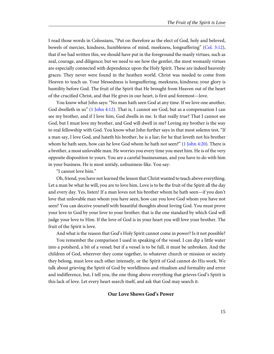I read those words in Colossians, "Put on therefore as the elect of God, holy and beloved, bowels of mercies, kindness, humbleness of mind, meekness, longsuffering" ([Col. 3:12\)](http://www.ccel.org/study/Bible:Col.3.12), that if we had written this, we should have put in the foreground the manly virtues, such as zeal, courage, and diligence; but we need to see how the gentler, the most womanly virtues are especially connected with dependence upon the Holy Spirit. These are indeed heavenly graces. They never were found in the heathen world. Christ was needed to come from Heaven to teach us. Your blessedness is longsuffering, meekness, kindness; your glory is humility before God. The fruit of the Spirit that He brought from Heaven out of the heart of the crucified Christ, and that He gives in our heart, is first and foremost—love.

You know what John says: "No man hath seen God at any time. If we love one another, God dwelleth in us" [\(1 John 4:12\)](http://www.ccel.org/study/Bible:1John.4.12). That is, I cannot see God, but as a compensation I can see my brother, and if I love him, God dwells in me. Is that really true? That I cannot see God, but I must love my brother, and God will dwell in me? Loving my brother is the way to real fellowship with God. You know what John further says in that most solemn test, "If a man say, I love God, and hateth his brother, he is a liar; for he that loveth not his brother whom he hath seen, how can he love God whom he hath not seen?"  $(1$  John 4:20). There is a brother, a most unlovable man. He worries you every time you meet him. He is of the very opposite disposition to yours. You are a careful businessman, and you have to do with him in your business. He is most untidy, unbusiness-like. You say:

"I cannot love him."

Oh, friend, you have not learned the lesson that Christ wanted to teach above everything. Let a man be what he will, you are to love him. Love is to be the fruit of the Spirit all the day and every day. Yes, listen! If a man loves not his brother whom he hath seen—if you don't love that unlovable man whom you have seen, how can you love God whom you have not seen? You can deceive yourself with beautiful thoughts about loving God. You must prove your love to God by your love to your brother; that is the one standard by which God will judge your love to Him. If the love of God is in your heart you will love your brother. The fruit of the Spirit is love.

And what is the reason that God's Holy Spirit cannot come in power? Is it not possible?

You remember the comparison I used in speaking of the vessel. I can dip a little water into a potsherd, a bit of a vessel; but if a vessel is to be full, it must be unbroken. And the children of God, wherever they come together, to whatever church or mission or society they belong, must love each other intensely, or the Spirit of God cannot do His work. We talk about grieving the Spirit of God by worldliness and ritualism and formality and error and indifference, but, I tell you, the one thing above everything that grieves God's Spirit is this lack of love. Let every heart search itself, and ask that God may search it.

#### **Our Love Shows God's Power**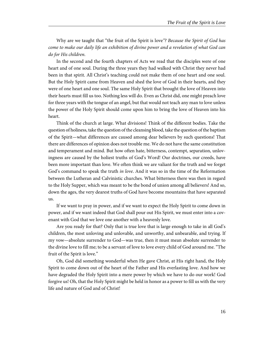Why are we taught that "the fruit of the Spirit is love"? Because the Spirit of God has come to make our daily life an exhibition of divine power and a revelation of what God can do for His children.

In the second and the fourth chapters of Acts we read that the disciples were of one heart and of one soul. During the three years they had walked with Christ they never had been in that spirit. All Christ's teaching could not make them of one heart and one soul. But the Holy Spirit came from Heaven and shed the love of God in their hearts, and they were of one heart and one soul. The same Holy Spirit that brought the love of Heaven into their hearts must fill us too. Nothing less will do. Even as Christ did, one might preach love for three years with the tongue of an angel, but that would not teach any man to love unless the power of the Holy Spirit should come upon him to bring the love of Heaven into his heart.

Think of the church at large. What divisions! Think of the different bodies. Take the question of holiness, take the question of the cleansing blood, take the question of the baptism of the Spirit—what differences are caused among dear believers by such questions! That there are differences of opinion does not trouble me. We do not have the same constitution and temperament and mind. But how often hate, bitterness, contempt, separation, unlovingness are caused by the holiest truths of God's Word! Our doctrines, our creeds, have been more important than love. We often think we are valiant for the truth and we forget God's command to speak the truth in love. And it was so in the time of the Reformation between the Lutheran and Calvinistic churches. What bitterness there was then in regard to the Holy Supper, which was meant to be the bond of union among all believers! And so, down the ages, the very dearest truths of God have become mountains that have separated us.

If we want to pray in power, and if we want to expect the Holy Spirit to come down in power, and if we want indeed that God shall pour out His Spirit, we must enter into a covenant with God that we love one another with a heavenly love.

Are you ready for that? Only that is true love that is large enough to take in all God's children, the most unloving and unlovable, and unworthy, and unbearable, and trying. If my vow—absolute surrender to God—was true, then it must mean absolute surrender to the divine love to fill me; to be a servant of love to love every child of God around me. "The fruit of the Spirit is love."

Oh, God did something wonderful when He gave Christ, at His right hand, the Holy Spirit to come down out of the heart of the Father and His everlasting love. And how we have degraded the Holy Spirit into a mere power by which we have to do our work! God forgive us! Oh, that the Holy Spirit might be held in honor as a power to fill us with the very life and nature of God and of Christ!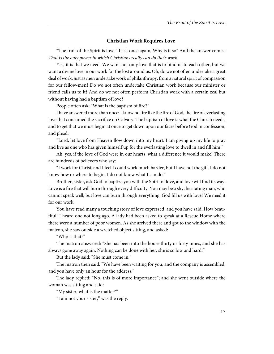#### **Christian Work Requires Love**

"The fruit of the Spirit is love." I ask once again, Why is it so? And the answer comes: That is the only power in which Christians really can do their work.

Yes, it is that we need. We want not only love that is to bind us to each other, but we want a divine love in our work for the lost around us. Oh, do we not often undertake a great deal of work, just as men undertake work of philanthropy, from a natural spirit of compassion for our fellow-men? Do we not often undertake Christian work because our minister or friend calls us to it? And do we not often perform Christian work with a certain zeal but without having had a baptism of love?

People often ask: "What is the baptism of fire?"

I have answered more than once: I know no fire like the fire of God, the fire of everlasting love that consumed the sacrifice on Calvary. The baptism of love is what the Church needs, and to get that we must begin at once to get down upon our faces before God in confession, and plead:

"Lord, let love from Heaven flow down into my heart. I am giving up my life to pray and live as one who has given himself up for the everlasting love to dwell in and fill him."

Ah, yes, if the love of God were in our hearts, what a difference it would make! There are hundreds of believers who say:

"I work for Christ, and I feel I could work much harder, but I have not the gift. I do not know how or where to begin. I do not know what I can do."

Brother, sister, ask God to baptize you with the Spirit of love, and love will find its way. Love is a fire that will burn through every difficulty. You may be a shy, hesitating man, who cannot speak well, but love can burn through everything. God fill us with love! We need it for our work.

You have read many a touching story of love expressed, and you have said, How beautiful! I heard one not long ago. A lady had been asked to speak at a Rescue Home where there were a number of poor women. As she arrived there and got to the window with the matron, she saw outside a wretched object sitting, and asked:

"Who is that?"

The matron answered: "She has been into the house thirty or forty times, and she has always gone away again. Nothing can be done with her, she is so low and hard."

But the lady said: "She must come in."

The matron then said: "We have been waiting for you, and the company is assembled, and you have only an hour for the address."

The lady replied: "No, this is of more importance"; and she went outside where the woman was sitting and said:

"My sister, what is the matter?"

"I am not your sister," was the reply.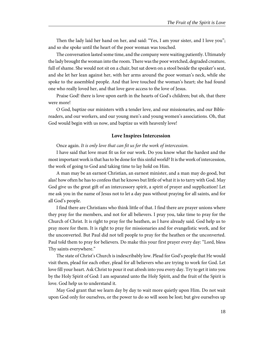Then the lady laid her hand on her, and said: "Yes, I am your sister, and I love you"; and so she spoke until the heart of the poor woman was touched.

The conversation lasted some time, and the company were waiting patiently. Ultimately the lady brought the woman into the room. There was the poor wretched, degraded creature, full of shame. She would not sit on a chair, but sat down on a stool beside the speaker's seat, and she let her lean against her, with her arms around the poor woman's neck, while she spoke to the assembled people. And that love touched the woman's heart; she had found one who really loved her, and that love gave access to the love of Jesus.

Praise God! there is love upon earth in the hearts of God's children; but oh, that there were more!

O God, baptize our ministers with a tender love, and our missionaries, and our Biblereaders, and our workers, and our young men's and young women's associations. Oh, that God would begin with us now, and baptize us with heavenly love!

#### **Love Inspires Intercession**

Once again. It is only love that can fit us for the work of intercession.

I have said that love must fit us for our work. Do you know what the hardest and the most important work is that has to be done for this sinful world? It is the work of intercession, the work of going to God and taking time to lay hold on Him.

A man may be an earnest Christian, an earnest minister, and a man may do good, but alas! how often he has to confess that he knows but little of what it is to tarry with God. May God give us the great gift of an intercessory spirit, a spirit of prayer and supplication! Let me ask you in the name of Jesus not to let a day pass without praying for all saints, and for all God's people.

I find there are Christians who think little of that. I find there are prayer unions where they pray for the members, and not for all believers. I pray you, take time to pray for the Church of Christ. It is right to pray for the heathen, as I have already said. God help us to pray more for them. It is right to pray for missionaries and for evangelistic work, and for the unconverted. But Paul did not tell people to pray for the heathen or the unconverted. Paul told them to pray for believers. Do make this your first prayer every day: "Lord, bless Thy saints everywhere."

The state of Christ's Church is indescribably low. Plead for God's people that He would visit them, plead for each other, plead for all believers who are trying to work for God. Let love fill your heart. Ask Christ to pour it out afresh into you every day. Try to get it into you by the Holy Spirit of God: I am separated unto the Holy Spirit, and the fruit of the Spirit is love. God help us to understand it.

May God grant that we learn day by day to wait more quietly upon Him. Do not wait upon God only for ourselves, or the power to do so will soon be lost; but give ourselves up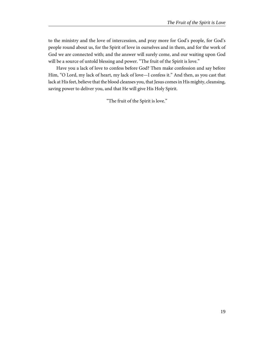to the ministry and the love of intercession, and pray more for God's people, for God's people round about us, for the Spirit of love in ourselves and in them, and for the work of God we are connected with; and the answer will surely come, and our waiting upon God will be a source of untold blessing and power. "The fruit of the Spirit is love."

Have you a lack of love to confess before God? Then make confession and say before Him, "O Lord, my lack of heart, my lack of love—I confess it." And then, as you cast that lack at His feet, believe that the blood cleanses you, that Jesus comes in His mighty, cleansing, saving power to deliver you, and that He will give His Holy Spirit.

"The fruit of the Spirit is love."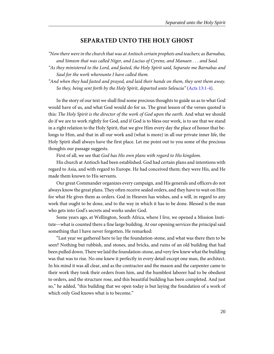### **SEPARATED UNTO THE HOLY GHOST**

<span id="page-23-0"></span>"Now there were in the church that was at Antioch certain prophets and teachers; as Barnabas, and Simeon that was called Niger, and Lucius of Cyrene, and Manaen . . . and Saul.

"As they ministered to the Lord, and fasted, the Holy Spirit said, Separate me Barnabas and Saul for the work whereunto I have called them.

"And when they had fasted and prayed, and laid their hands on them, they sent them away. So they, being sent forth by the Holy Spirit, departed unto Seleucia" ([Acts 13:1-4](http://www.ccel.org/study/Bible:Acts.13.1-Acts.13.4)).

In the story of our text we shall find some precious thoughts to guide us as to what God would have of us, and what God would do for us. The great lesson of the verses quoted is this: The Holy Spirit is the director of the work of God upon the earth. And what we should do if we are to work rightly for God, and if God is to bless our work, is to see that we stand in a right relation to the Holy Spirit, that we give Him every day the place of honor that belongs to Him, and that in all our work and (what is more) in all our private inner life, the Holy Spirit shall always have the first place. Let me point out to you some of the precious thoughts our passage suggests.

First of all, we see that God has His own plans with regard to His kingdom.

His church at Antioch had been established. God had certain plans and intentions with regard to Asia, and with regard to Europe. He had conceived them; they were His, and He made them known to His servants.

Our great Commander organizes every campaign, and His generals and officers do not always know the great plans. They often receive sealed orders, and they have to wait on Him for what He gives them as orders. God in Heaven has wishes, and a will, in regard to any work that ought to be done, and to the way in which it has to be done. Blessed is the man who gets into God's secrets and works under God.

Some years ago, at Wellington, South Africa, where I live, we opened a Mission Institute—what is counted there a fine large building. At our opening services the principal said something that I have never forgotten. He remarked:

"Last year we gathered here to lay the foundation-stone, and what was there then to be seen? Nothing but rubbish, and stones, and bricks, and ruins of an old building that had been pulled down. There we laid the foundation-stone, and very few knew what the building was that was to rise. No one knew it perfectly in every detail except one man, the architect. In his mind it was all clear, and as the contractor and the mason and the carpenter came to their work they took their orders from him, and the humblest laborer had to be obedient to orders, and the structure rose, and this beautiful building has been completed. And just so," he added, "this building that we open today is but laying the foundation of a work of which only God knows what is to become."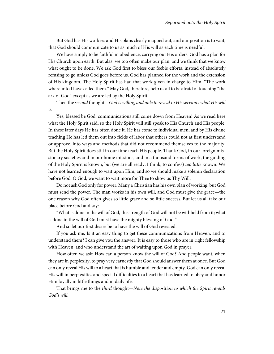But God has His workers and His plans clearly mapped out, and our position is to wait, that God should communicate to us as much of His will as each time is needful.

We have simply to be faithful in obedience, carrying out His orders. God has a plan for His Church upon earth. But alas! we too often make our plan, and we think that we know what ought to be done. We ask God first to bless our feeble efforts, instead of absolutely refusing to go unless God goes before us. God has planned for the work and the extension of His kingdom. The Holy Spirit has had that work given in charge to Him. "The work whereunto I have called them." May God, therefore, help us all to be afraid of touching "the ark of God" except as we are led by the Holy Spirit.

Then the second thought—God is willing and able to reveal to His servants what His will is.

Yes, blessed be God, communications still come down from Heaven! As we read here what the Holy Spirit said, so the Holy Spirit will still speak to His Church and His people. In these later days He has often done it. He has come to individual men, and by His divine teaching He has led them out into fields of labor that others could not at first understand or approve, into ways and methods that did not recommend themselves to the majority. But the Holy Spirit does still in our time teach His people. Thank God, in our foreign missionary societies and in our home missions, and in a thousand forms of work, the guiding of the Holy Spirit is known, but (we are all ready, I think, to confess) too little known. We have not learned enough to wait upon Him, and so we should make a solemn declaration before God: O God, we want to wait more for Thee to show us Thy Will.

Do not ask God only for power. Many a Christian has his own plan of working, but God must send the power. The man works in his own will, and God must give the grace—the one reason why God often gives so little grace and so little success. But let us all take our place before God and say:

"What is done in the will of God, the strength of God will not be withheld from it; what is done in the will of God must have the mighty blessing of God."

And so let our first desire be to have the will of God revealed.

If you ask me, Is it an easy thing to get these communications from Heaven, and to understand them? I can give you the answer. It is easy to those who are in right fellowship with Heaven, and who understand the art of waiting upon God in prayer.

How often we ask: How can a person know the will of God? And people want, when they are in perplexity, to pray very earnestly that God should answer them at once. But God can only reveal His will to a heart that is humble and tender and empty. God can only reveal His will in perplexities and special difficulties to a heart that has learned to obey and honor Him loyally in little things and in daily life.

That brings me to the *third* thought—*Note the disposition to which the Spirit reveals* God's will.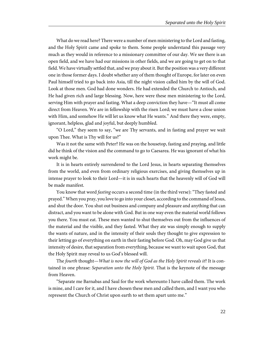What do we read here? There were a number of men ministering to the Lord and fasting, and the Holy Spirit came and spoke to them. Some people understand this passage very much as they would in reference to a missionary committee of our day. We see there is an open field, and we have had our missions in other fields, and we are going to get on to that field. We have virtually settled that, and we pray about it. But the position was a very different one in those former days. I doubt whether any of them thought of Europe, for later on even Paul himself tried to go back into Asia, till the night vision called him by the will of God. Look at those men. God had done wonders. He had extended the Church to Antioch, and He had given rich and large blessing. Now, here were these men ministering to the Lord, serving Him with prayer and fasting. What a deep conviction they have—"It must all come direct from Heaven. We are in fellowship with the risen Lord; we must have a close union with Him, and somehow He will let us know what He wants." And there they were, empty, ignorant, helpless, glad and joyful, but deeply humbled.

"O Lord," they seem to say, "we are Thy servants, and in fasting and prayer we wait upon Thee. What is Thy will for us?"

Was it not the same with Peter? He was on the housetop, fasting and praying, and little did he think of the vision and the command to go to Caesarea. He was ignorant of what his work might be.

It is in hearts entirely surrendered to the Lord Jesus, in hearts separating themselves from the world, and even from ordinary religious exercises, and giving themselves up in intense prayer to look to their Lord—it is in such hearts that the heavenly will of God will be made manifest.

You know that word *fasting* occurs a second time (in the third verse): "They fasted and prayed." When you pray, you love to go into your closet, according to the command of Jesus, and shut the door. You shut out business and company and pleasure and anything that can distract, and you want to be alone with God. But in one way even the material world follows you there. You must eat. These men wanted to shut themselves out from the influences of the material and the visible, and they fasted. What they ate was simply enough to supply the wants of nature, and in the intensity of their souls they thought to give expression to their letting go of everything on earth in their fasting before God. Oh, may God give us that intensity of desire, that separation from everything, because we want to wait upon God, that the Holy Spirit may reveal to us God's blessed will.

The fourth thought—What is now the will of God as the Holy Spirit reveals it? It is contained in one phrase: Separation unto the Holy Spirit. That is the keynote of the message from Heaven.

"Separate me Barnabas and Saul for the work whereunto I have called them. The work is mine, and I care for it, and I have chosen these men and called them, and I want you who represent the Church of Christ upon earth to set them apart unto me."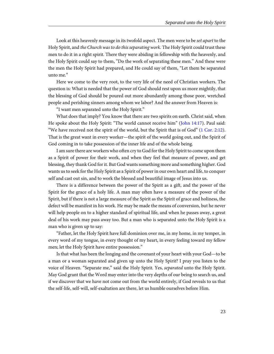Look at this heavenly message in its twofold aspect. The men were to be *set apart* to the Holy Spirit, and the Church was to do this separating work. The Holy Spirit could trust these men to do it in a right spirit. There they were abiding in fellowship with the heavenly, and the Holy Spirit could say to them, "Do the work of separating these men." And these were the men the Holy Spirit had prepared, and He could say of them, "Let them be separated unto me<sup>"</sup>

Here we come to the very root, to the very life of the need of Christian workers. The question is: What is needed that the power of God should rest upon us more mightily, that the blessing of God should be poured out more abundantly among those poor, wretched people and perishing sinners among whom we labor? And the answer from Heaven is:

"I want men separated unto the Holy Spirit."

What does that imply? You know that there are two spirits on earth. Christ said, when He spoke about the Holy Spirit: "The world cannot receive him" ([John 14:17\)](http://www.ccel.org/study/Bible:John.14.17). Paul said: "We have received not the spirit of the world, but the Spirit that is of God" ([1 Cor. 2:12\)](http://www.ccel.org/study/Bible:1Cor.2.12). That is the great want in every worker—the spirit of the world going out, and the Spirit of God coming in to take possession of the inner life and of the whole being.

I am sure there are workers who often cry to God for the Holy Spirit to come upon them as a Spirit of power for their work, and when they feel that measure of power, and get blessing, they thank God for it. But God wants something more and something higher. God wants us to seek for the Holy Spirit as a Spirit of power in our own heart and life, to conquer self and cast out sin, and to work the blessed and beautiful image of Jesus into us.

There is a difference between the power of the Spirit as a gift, and the power of the Spirit for the grace of a holy life. A man may often have a measure of the power of the Spirit, but if there is not a large measure of the Spirit as the Spirit of grace and holiness, the defect will be manifest in his work. He may be made the means of conversion, but he never will help people on to a higher standard of spiritual life, and when he passes away, a great deal of his work may pass away too. But a man who is separated unto the Holy Spirit is a man who is given up to say:

"Father, let the Holy Spirit have full dominion over me, in my home, in my temper, in every word of my tongue, in every thought of my heart, in every feeling toward my fellow men; let the Holy Spirit have entire possession."

Is that what has been the longing and the covenant of your heart with your God—to be a man or a woman separated and given up unto the Holy Spirit? I pray you listen to the voice of Heaven. "Separate me," said the Holy Spirit. Yes, separated unto the Holy Spirit. May God grant that the Word may enter into the very depths of our being to search us, and if we discover that we have not come out from the world entirely, if God reveals to us that the self-life, self-will, self-exaltation are there, let us humble ourselves before Him.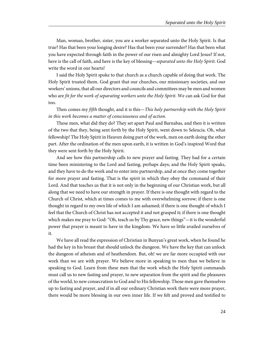Man, woman, brother, sister, you are a worker separated unto the Holy Spirit. Is that true? Has that been your longing desire? Has that been your surrender? Has that been what you have expected through faith in the power of our risen and almighty Lord Jesus? If not, here is the call of faith, and here is the key of blessing—separated unto the Holy Spirit. God write the word in our hearts!

I said the Holy Spirit spoke to that church as a church capable of doing that work. The Holy Spirit trusted them. God grant that our churches, our missionary societies, and our workers' unions, that all our directors and councils and committees may be men and women who are fit for the work of separating workers unto the Holy Spirit. We can ask God for that too.

#### Then comes my *fifth* thought, and it is this—*This holy partnership with the Holy Spirit* in this work becomes a matter of consciousness and of action.

These men, what did they do? They set apart Paul and Barnabas, and then it is written of the two that they, being sent forth by the Holy Spirit, went down to Seleucia. Oh, what fellowship! The Holy Spirit in Heaven doing part of the work, men on earth doing the other part. After the ordination of the men upon earth, it is written in God's inspired Word that they were sent forth by the Holy Spirit.

And see how this partnership calls to new prayer and fasting. They had for a certain time been ministering to the Lord and fasting, perhaps days; and the Holy Spirit speaks, and they have to do the work and to enter into partnership, and at once they come together for more prayer and fasting. That is the spirit in which they obey the command of their Lord. And that teaches us that it is not only in the beginning of our Christian work, but all along that we need to have our strength in prayer. If there is one thought with regard to the Church of Christ, which at times comes to me with overwhelming sorrow; if there is one thought in regard to my own life of which I am ashamed; if there is one thought of which I feel that the Church of Christ has not accepted it and not grasped it; if there is one thought which makes me pray to God: "Oh, teach us by Thy grace, new things"—it is the wonderful power that prayer is meant to have in the kingdom. We have so little availed ourselves of it.

We have all read the expression of Christian in Bunyan's great work, when he found he had the key in his breast that should unlock the dungeon. We have the key that can unlock the dungeon of atheism and of heathendom. But, oh! we are far more occupied with our work than we are with prayer. We believe more in speaking to men than we believe in speaking to God. Learn from these men that the work which the Holy Spirit commands must call us to new fasting and prayer, to new separation from the spirit and the pleasures of the world, to new consecration to God and to His fellowship. Those men gave themselves up to fasting and prayer, and if in all our ordinary Christian work there were more prayer, there would be more blessing in our own inner life. If we felt and proved and testified to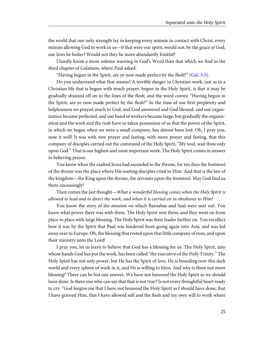the world that our only strength lay in keeping every minute in contact with Christ, every minute allowing God to work in us—if that were our spirit, would not, by the grace of God, our lives be holier? Would not they be more abundantly fruitful?

I hardly know a more solemn warning in God's Word than that which we find in the third chapter of Galatians, where Paul asked:

"Having begun in the Spirit, are ye now made perfect by the flesh?" [\(Gal. 3:3\)](http://www.ccel.org/study/Bible:Gal.3.3).

Do you understand what that means? A terrible danger in Christian work, just as in a Christian life that is begun with much prayer, begun in the Holy Spirit, is that it may be gradually shunted off on to the lines of the flesh; and the word comes: "Having begun in the Spirit, are ye now made perfect by the flesh?" In the time of our first perplexity and helplessness we prayed much to God, and God answered and God blessed, and our organization became perfected, and our band of workers became large; but gradually the organization and the work and the rush have so taken possession of us that the power of the Spirit, in which we began when we were a small company, has almost been lost. Oh, I pray you, note it well! It was with new prayer and fasting, with more prayer and fasting, that this company of disciples carried out the command of the Holy Spirit, "My soul, wait thou only upon God." That is our highest and most important work. The Holy Spirit comes in answer to believing prayer.

You know when the exalted Jesus had ascended to the throne, for ten days the footstool of the throne was the place where His waiting disciples cried to Him. And that is the law of the kingdom—the King upon the throne, the servants upon the footstool. May God find us there unceasingly!

Then comes the *last* thought—*What a wonderful blessing comes when the Holy Spirit is* allowed to lead and to direct the work, and when it is carried on in obedience to Him!

You know the story of the mission on which Barnabas and Saul were sent out. You know what power there was with them. The Holy Spirit sent them, and they went on from place to place with large blessing. The Holy Spirit was their leader further on. You recollect how it was by the Spirit that Paul was hindered from going again into Asia, and was led away over to Europe. Oh, the blessing that rested upon that little company of men, and upon their ministry unto the Lord!

I pray you, let us learn to believe that God has a blessing for us. The Holy Spirit, into whose hands God has put the work, has been called "the executive of the Holy Trinity." The Holy Spirit has not only power, but He has the Spirit of love. He is brooding over this dark world and every sphere of work in it, and He is willing to bless. And why is there not more blessing? There can be but one answer. We have not honored the Holy Spirit as we should have done. Is there one who can say that that is not true? Is not every thoughtful heart ready to cry: "God forgive me that I have not honored the Holy Spirit as I should have done, that I have grieved Him, that I have allowed self and the flesh and my own will to work where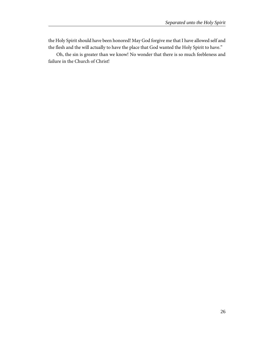the Holy Spirit should have been honored! May God forgive me that I have allowed self and the flesh and the will actually to have the place that God wanted the Holy Spirit to have."

Oh, the sin is greater than we know! No wonder that there is so much feebleness and failure in the Church of Christ!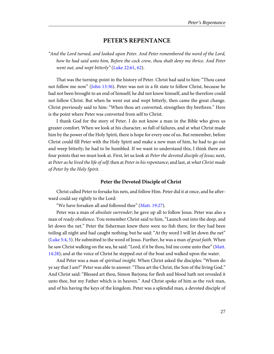## **PETER'S REPENTANCE**

<span id="page-30-0"></span>"And the Lord turned, and looked upon Peter. And Peter remembered the word of the Lord, how he had said unto him, Before the cock crow, thou shalt deny me thrice. And Peter went out, and wept bitterly" [\(Luke 22:61](http://www.ccel.org/study/Bible:Luke.22.61), [62\)](http://www.ccel.org/study/Bible:Luke.22.62).

That was the turning-point in the history of Peter. Christ had said to him: "Thou canst not follow me now" ([John 13:36\)](http://www.ccel.org/study/Bible:John.13.36). Peter was not in a fit state to follow Christ, because he had not been brought to an end of himself; he did not know himself, and he therefore could not follow Christ. But when he went out and wept bitterly, then came the great change. Christ previously said to him: "When thou art converted, strengthen thy brethren." Here is the point where Peter was converted from self to Christ.

I thank God for the story of Peter. I do not know a man in the Bible who gives us greater comfort. When we look at his character, so full of failures, and at what Christ made him by the power of the Holy Spirit, there is hope for every one of us. But remember, before Christ could fill Peter with the Holy Spirit and make a new man of him, he had to go out and weep bitterly; he had to be humbled. If we want to understand this, I think there are four points that we must look at. First, let us look at Peter the devoted disciple of Jesus; next, at Peter as he lived the life of self; then at Peter in his repentance; and last, at what Christ made of Peter by the Holy Spirit.

#### **Peter the Devoted Disciple of Christ**

Christ called Peter to forsake his nets, and follow Him. Peter did it at once, and he afterward could say rightly to the Lord:

"We have forsaken all and followed thee" ([Matt. 19:27\)](http://www.ccel.org/study/Bible:Matt.19.27).

Peter was a man of absolute surrender; he gave up all to follow Jesus. Peter was also a man of ready obedience. You remember Christ said to him, "Launch out into the deep, and let down the net." Peter the fisherman knew there were no fish there, for they had been toiling all night and had caught nothing; but he said: "At thy word I will let down the net" ([Luke 5:4,](http://www.ccel.org/study/Bible:Luke.5.4) [5\)](http://www.ccel.org/study/Bible:Luke.5.5). He submitted to the word of Jesus. Further, he was a man of great faith. When he saw Christ walking on the sea, he said: "Lord, if it be thou, bid me come unto thee" [\(Matt.](http://www.ccel.org/study/Bible:Matt.14.28) [14:28\)](http://www.ccel.org/study/Bible:Matt.14.28); and at the voice of Christ he stepped out of the boat and walked upon the water.

And Peter was a man of spiritual insight. When Christ asked the disciples: "Whom do ye say that I am?" Peter was able to answer: "Thou art the Christ, the Son of the living God." And Christ said: "Blessed art thou, Simon Barjona; for flesh and blood hath not revealed it unto thee, but my Father which is in heaven." And Christ spoke of him as the rock man, and of his having the keys of the kingdom. Peter was a splendid man, a devoted disciple of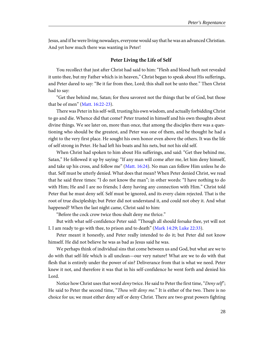Jesus, and if he were living nowadays, everyone would say that he was an advanced Christian. And yet how much there was wanting in Peter!

#### **Peter Living the Life of Self**

You recollect that just after Christ had said to him: "Flesh and blood hath not revealed it unto thee, but my Father which is in heaven," Christ began to speak about His sufferings, and Peter dared to say: "Be it far from thee, Lord; this shall not be unto thee." Then Christ had to say:

"Get thee behind me, Satan; for thou savorest not the things that be of God, but those that be of men" [\(Matt. 16:22-23\)](http://www.ccel.org/study/Bible:Matt.16.22-Matt.16.23).

There was Peter in his self-will, trusting his own wisdom, and actually forbidding Christ to go and die. Whence did that come? Peter trusted in himself and his own thoughts about divine things. We see later on, more than once, that among the disciples there was a questioning who should be the greatest, and Peter was one of them, and he thought he had a right to the very first place. He sought his own honor even above the others. It was the life of self strong in Peter. He had left his boats and his nets, but not his old self.

When Christ had spoken to him about His sufferings, and said: "Get thee behind me, Satan," He followed it up by saying: "If any man will come after me, let him deny himself, and take up his cross, and follow me" ([Matt. 16:24\)](http://www.ccel.org/study/Bible:Matt.16.24). No man can follow Him unless he do that. Self must be utterly denied. What does that mean? When Peter denied Christ, we read that he said three times: "I do not know the man"; in other words: "I have nothing to do with Him; He and I are no friends; I deny having any connection with Him." Christ told Peter that he must deny self. Self must be ignored, and its every claim rejected. That is the root of true discipleship; but Peter did not understand it, and could not obey it. And what happened? When the last night came, Christ said to him:

"Before the cock crow twice thou shalt deny me thrice."

But with what self-confidence Peter said: "Though all should forsake thee, yet will not I. I am ready to go with thee, to prison and to death" [\(Mark 14:29](http://www.ccel.org/study/Bible:Mark.14.29); [Luke 22:33](http://www.ccel.org/study/Bible:Luke.22.33)).

Peter meant it honestly, and Peter really intended to do it; but Peter did not know himself. He did not believe he was as bad as Jesus said he was.

We perhaps think of individual sins that come between us and God, but what are we to do with that self-life which is all unclean—our very nature? What are we to do with that flesh that is entirely under the power of sin? Deliverance from that is what we need. Peter knew it not, and therefore it was that in his self-confidence he went forth and denied his Lord.

Notice how Christ uses that word *deny* twice. He said to Peter the first time, "Deny self"; He said to Peter the second time, "Thou wilt deny me." It is either of the two. There is no choice for us; we must either deny self or deny Christ. There are two great powers fighting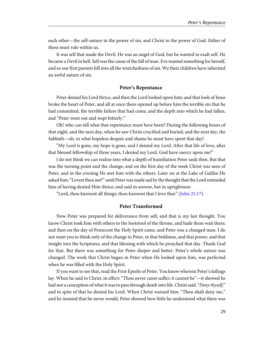each other—the self-nature in the power of sin, and Christ in the power of God. Either of these must rule within us.

It was self that made the Devil. He was an angel of God, but he wanted to exalt self. He became a Devil in hell. Self was the cause of the fall of man. Eve wanted something for herself, and so our first parents fell into all the wretchedness of sin. We their children have inherited an awful nature of sin.

#### **Peter's Repentance**

Peter denied his Lord thrice, and then the Lord looked upon him; and that look of Jesus broke the heart of Peter, and all at once there opened up before him the terrible sin that he had committed, the terrible failure that had come, and the depth into which he had fallen, and "Peter went out and wept bitterly."

Oh! who can tell what that repentance must have been? During the following hours of that night, and the next day, when he saw Christ crucified and buried, and the next day, the Sabbath—oh, in what hopeless despair and shame he must have spent that day!

"My Lord is gone, my hope is gone, and I denied my Lord. After that life of love, after that blessed fellowship of three years, I denied my Lord. God have mercy upon me!"

I do not think we can realize into what a depth of humiliation Peter sank then. But that was the turning point and the change; and on the first day of the week Christ was seen of Peter, and in the evening He met him with the others. Later on at the Lake of Galilee He asked him: "Lovest thou me?" until Peter was made sad by the thought that the Lord reminded him of having denied Him thrice; and said in sorrow, but in uprightness:

"Lord, thou knowest all things; thou knowest that I love thee" ([John 21:17](http://www.ccel.org/study/Bible:John.21.17)).

#### **Peter Transformed**

Now Peter was prepared for deliverance from self, and that is my last thought. You know Christ took him with others to the footstool of the throne, and bade them wait there; and then on the day of Pentecost the Holy Spirit came, and Peter was a changed man. I do not want you to think only of the change in Peter, in that boldness, and that power, and that insight into the Scriptures, and that blessing with which he preached that day. Thank God for that. But there was something for Peter deeper and better. Peter's whole nature was changed. The work that Christ began in Peter when He looked upon him, was perfected when he was filled with the Holy Spirit.

If you want to see that, read the First Epistle of Peter. You know wherein Peter's failings lay. When he said to Christ, in effect: "Thou never canst suffer; it cannot be"—it showed he had not a conception of what it was to pass through death into life. Christ said: "Deny thyself," and in spite of that he denied his Lord. When Christ warned him: "Thou shalt deny me," and he insisted that he never would, Peter showed how little he understood what there was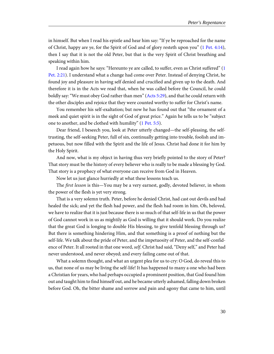in himself. But when I read his epistle and hear him say: "If ye be reproached for the name of Christ, happy are ye, for the Spirit of God and of glory resteth upon you" ([1 Pet. 4:14\)](http://www.ccel.org/study/Bible:1Pet.4.14), then I say that it is not the old Peter, but that is the very Spirit of Christ breathing and speaking within him.

I read again how he says: "Hereunto ye are called, to suffer, even as Christ suffered" ([1](http://www.ccel.org/study/Bible:1Pet.2.21) [Pet. 2:21\)](http://www.ccel.org/study/Bible:1Pet.2.21). I understand what a change had come over Peter. Instead of denying Christ, he found joy and pleasure in having self denied and crucified and given up to the death. And therefore it is in the Acts we read that, when he was called before the Council, he could boldly say: "We must obey God rather than men" ([Acts 5:29](http://www.ccel.org/study/Bible:Acts.5.29)), and that he could return with the other disciples and rejoice that they were counted worthy to suffer for Christ's name.

You remember his self-exaltation; but now he has found out that "the ornament of a meek and quiet spirit is in the sight of God of great price." Again he tells us to be "subject one to another, and be clothed with humility" ([1 Pet. 5:5\)](http://www.ccel.org/study/Bible:1Pet.5.5).

Dear friend, I beseech you, look at Peter utterly changed—the self-pleasing, the selftrusting, the self-seeking Peter, full of sin, continually getting into trouble, foolish and impetuous, but now filled with the Spirit and the life of Jesus. Christ had done it for him by the Holy Spirit.

And now, what is my object in having thus very briefly pointed to the story of Peter? That story must be the history of every believer who is really to be made a blessing by God. That story is a prophecy of what everyone can receive from God in Heaven.

Now let us just glance hurriedly at what these lessons teach us.

The *first lesson* is this—You may be a very earnest, godly, devoted believer, in whom the power of the flesh is yet very strong.

That is a very solemn truth. Peter, before he denied Christ, had cast out devils and had healed the sick; and yet the flesh had power, and the flesh had room in him. Oh, beloved, we have to realize that it is just because there is so much of that self-life in us that the power of God cannot work in us as mightily as God is willing that it should work. Do you realize that the great God is longing to double His blessing, to give tenfold blessing through us? But there is something hindering Him, and that something is a proof of nothing but the self-life. We talk about the pride of Peter, and the impetuosity of Peter, and the self-confidence of Peter. It all rooted in that one word, self. Christ had said, "Deny self," and Peter had never understood, and never obeyed; and every failing came out of that.

What a solemn thought, and what an urgent plea for us to cry: O God, do reveal this to us, that none of us may be living the self-life! It has happened to many a one who had been a Christian for years, who had perhaps occupied a prominent position, that God found him out and taught him to find himself out, and he became utterly ashamed, falling down broken before God. Oh, the bitter shame and sorrow and pain and agony that came to him, until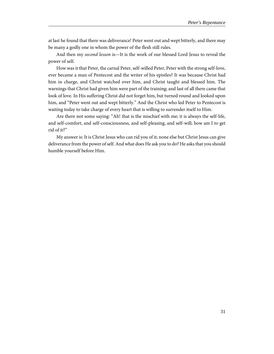at last he found that there was deliverance! Peter went out and wept bitterly, and there may be many a godly one in whom the power of the flesh still rules.

And then my second lesson is—It is the work of our blessed Lord Jesus to reveal the power of self.

How was it that Peter, the carnal Peter, self-willed Peter, Peter with the strong self-love, ever became a man of Pentecost and the writer of his epistles? It was because Christ had him in charge, and Christ watched over him, and Christ taught and blessed him. The warnings that Christ had given him were part of the training; and last of all there came that look of love. In His suffering Christ did not forget him, but turned round and looked upon him, and "Peter went out and wept bitterly." And the Christ who led Peter to Pentecost is waiting today to take charge of every heart that is willing to surrender itself to Him.

Are there not some saying: "Ah! that is the mischief with me; it is always the self-life, and self-comfort, and self-consciousness, and self-pleasing, and self-will; how am I to get rid of it?"

My answer is: It is Christ Jesus who can rid you of it; none else but Christ Jesus can give deliverance from the power of self. And what does He ask you to do? He asks that you should humble yourself before Him.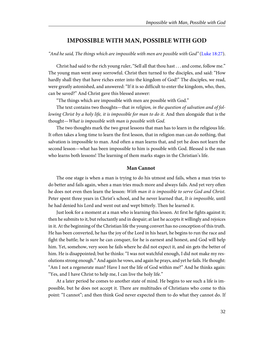#### **IMPOSSIBLE WITH MAN, POSSIBLE WITH GOD**

<span id="page-35-0"></span>"And he said, The things which are impossible with men are possible with God" [\(Luke 18:27\)](http://www.ccel.org/study/Bible:Luke.18.27).

Christ had said to the rich young ruler, "Sell all that thou hast . . . and come, follow me." The young man went away sorrowful. Christ then turned to the disciples, and said: "How hardly shall they that have riches enter into the kingdom of God!" The disciples, we read, were greatly astonished, and answered: "If it is so difficult to enter the kingdom, who, then, can be saved?" And Christ gave this blessed answer:

"The things which are impossible with men are possible with God."

The text contains two thoughts—that in religion, in the question of salvation and of following Christ by a holy life, it is impossible for man to do it. And then alongside that is the thought—What is impossible with man is possible with God.

The two thoughts mark the two great lessons that man has to learn in the religious life. It often takes a long time to learn the first lesson, that in religion man can do nothing, that salvation is impossible to man. And often a man learns that, and yet he does not learn the second lesson—what has been impossible to him is possible with God. Blessed is the man who learns both lessons! The learning of them marks stages in the Christian's life.

#### **Man Cannot**

The one stage is when a man is trying to do his utmost and fails, when a man tries to do better and fails again, when a man tries much more and always fails. And yet very often he does not even then learn the lesson: With man it is impossible to serve God and Christ. Peter spent three years in Christ's school, and he never learned that, It is impossible, until he had denied his Lord and went out and wept bitterly. Then he learned it.

Just look for a moment at a man who is learning this lesson. At first he fights against it; then he submits to it, but reluctantly and in despair; at last he accepts it willingly and rejoices in it. At the beginning of the Christian life the young convert has no conception of this truth. He has been converted, he has the joy of the Lord in his heart, he begins to run the race and fight the battle; he is sure he can conquer, for he is earnest and honest, and God will help him. Yet, somehow, very soon he fails where he did not expect it, and sin gets the better of him. He is disappointed; but he thinks: "I was not watchful enough, I did not make my resolutions strong enough." And again he vows, and again he prays, and yet he fails. He thought: "Am I not a regenerate man? Have I not the life of God within me?" And he thinks again: "Yes, and I have Christ to help me, I can live the holy life."

At a later period he comes to another state of mind. He begins to see such a life is impossible, but he does not accept it. There are multitudes of Christians who come to this point: "I cannot"; and then think God never expected them to do what they cannot do. If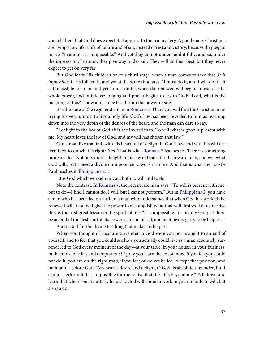you tell them that God does expect it, it appears to them a mystery. A good many Christians are living a low life, a life of failure and of sin, instead of rest and victory, because they began to see: "I cannot, it is impossible." And yet they do not understand it fully, and so, under the impression, I cannot, they give way to despair. They will do their best, but they never expect to get on very far.

But God leads His children on to a third stage, when a man comes to take that, It is impossible, in its full truth, and yet at the same time says: "I must do it, and I will do it—it is impossible for man, and yet I must do it"; when the renewed will begins to exercise its whole power, and in intense longing and prayer begins to cry to God: "Lord, what is the meaning of this?—how am I to be freed from the power of sin?"

It is the state of the regenerate man in [Romans 7.](http://www.ccel.org/study/Bible:Rom.7) There you will find the Christian man trying his very utmost to live a holy life. God's law has been revealed to him as reaching down into the very depth of the desires of the heart, and the man can dare to say:

"I delight in the law of God after the inward man. To will what is good is present with me. My heart loves the law of God, and my will has chosen that law."

Can a man like that fail, with his heart full of delight in God's law and with his will determined to do what is right? Yes. That is what [Romans 7](http://www.ccel.org/study/Bible:Rom.7) teaches us. There is something more needed. Not only must I delight in the law of God after the inward man, and will what God wills, but I need a divine omnipotence to work it in me. And that is what the apostle Paul teaches in [Philippians 2:13](http://www.ccel.org/study/Bible:Phil.2.13):

"It is God which worketh in you, both to will and to do."

Note the contrast. In [Romans 7](http://www.ccel.org/study/Bible:Rom.7), the regenerate man says: "To will is present with me, but to do—I find I cannot do. I will, but I cannot perform." But in [Philippians 2](http://www.ccel.org/study/Bible:Phil.2), you have a man who has been led on farther, a man who understands that when God has worked the renewed will, God will give the power to accomplish what that will desires. Let us receive this as the first great lesson in the spiritual life: "It is impossible for me, my God; let there be an end of the flesh and all its powers, an end of self, and let it be my glory to be helpless."

Praise God for the divine teaching that makes us helpless!

When you thought of absolute surrender to God were you not brought to an end of yourself, and to feel that you could see how you actually could live as a man absolutely surrendered to God every moment of the day—at your table, in your house, in your business, in the midst of trials and temptations? I pray you learn the lesson now. If you felt you could not do it, you are on the right road, if you let yourselves be led. Accept that position, and maintain it before God: "My heart's desire and delight, O God, is absolute surrender, but I cannot perform it. It is impossible for me to live that life. It is beyond me." Fall down and learn that when you are utterly helpless, God will come to work in you not only to will, but also to do.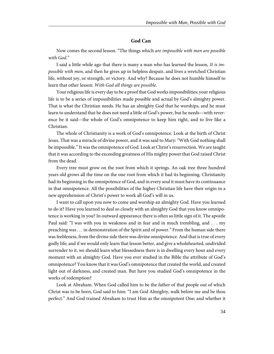# **God Can**

Now comes the second lesson. "The things which are impossible with men are possible with God."

I said a little while ago that there is many a man who has learned the lesson, It is impossible with men, and then he gives up in helpless despair, and lives a wretched Christian life, without joy, or strength, or victory. And why? Because he does not humble himself to learn that other lesson: With God all things are possible.

Your religious life is every day to be a proof that God works impossibilities; your religious life is to be a series of impossibilities made possible and actual by God's almighty power. That is what the Christian needs. He has an almighty God that he worships, and he must learn to understand that he does not need a little of God's power, but he needs—with reverence be it said—the whole of God's omnipotence to keep him right, and to live like a Christian.

The whole of Christianity is a work of God's omnipotence. Look at the birth of Christ Jesus. That was a miracle of divine power, and it was said to Mary: "With God nothing shall be impossible." It was the omnipotence of God. Look at Christ's resurrection. We are taught that it was according to the exceeding greatness of His mighty power that God raised Christ from the dead.

Every tree must grow on the root from which it springs. An oak tree three hundred years old grows all the time on the one root from which it had its beginning. Christianity had its beginning in the omnipotence of God, and in every soul it must have its continuance in that omnipotence. All the possibilities of the higher Christian life have their origin in a new apprehension of Christ's power to work all God's will in us.

I want to call upon you now to come and worship an almighty God. Have you learned to do it? Have you learned to deal so closely with an almighty God that you know omnipotence is working in you? In outward appearance there is often so little sign of it. The apostle Paul said: "I was with you in weakness and in fear and in much trembling, and . . . my preaching was . . . in demonstration of the Spirit and of power." From the human side there was feebleness, from the divine side there was divine omnipotence. And that is true of every godly life; and if we would only learn that lesson better, and give a wholehearted, undivided surrender to it, we should learn what blessedness there is in dwelling every hour and every moment with an almighty God. Have you ever studied in the Bible the attribute of God's omnipotence? You know that it was God's omnipotence that created the world, and created light out of darkness, and created man. But have you studied God's omnipotence in the works of redemption?

Look at Abraham. When God called him to be the father of that people out of which Christ was to be born, God said to him: "I am God Almighty, walk before me and be thou perfect." And God trained Abraham to trust Him as the omnipotent One; and whether it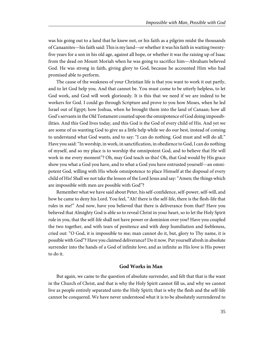was his going out to a land that he knew not, or his faith as a pilgrim midst the thousands of Canaanites—his faith said: This is my land—or whether it was his faith in waiting twentyfive years for a son in his old age, against all hope, or whether it was the raising up of Isaac from the dead on Mount Moriah when he was going to sacrifice him—Abraham believed God. He was strong in faith, giving glory to God, because he accounted Him who had promised able to perform.

The cause of the weakness of your Christian life is that you want to work it out partly, and to let God help you. And that cannot be. You must come to be utterly helpless, to let God work, and God will work gloriously. It is this that we need if we are indeed to be workers for God. I could go through Scripture and prove to you how Moses, when he led Israel out of Egypt; how Joshua, when he brought them into the land of Canaan; how all God's servants in the Old Testament counted upon the omnipotence of God doing impossibilities. And this God lives today, and this God is the God of every child of His. And yet we are some of us wanting God to give us a little help while we do our best, instead of coming to understand what God wants, and to say: "I can do nothing. God must and will do all." Have you said: "In worship, in work, in sanctification, in obedience to God, I can do nothing of myself, and so my place is to worship the omnipotent God, and to believe that He will work in me every moment"? Oh, may God teach us this! Oh, that God would by His grace show you what a God you have, and to what a God you have entrusted yourself—an omnipotent God, willing with His whole omnipotence to place Himself at the disposal of every child of His! Shall we not take the lesson of the Lord Jesus and say: "Amen; the things which are impossible with men are possible with God"?

Remember what we have said about Peter, his self-confidence, self-power, self-will, and how he came to deny his Lord. You feel, "Ah! there is the self-life, there is the flesh-life that rules in me!" And now, have you believed that there is deliverance from that? Have you believed that Almighty God is able so to reveal Christ in your heart, so to let the Holy Spirit rule in you, that the self-life shall not have power or dominion over you? Have you coupled the two together, and with tears of penitence and with deep humiliation and feebleness, cried out: "O God, it is impossible to me; man cannot do it, but, glory to Thy name, it is possible with God"? Have you claimed deliverance? Do it now. Put yourself afresh in absolute surrender into the hands of a God of infinite love; and as infinite as His love is His power to do it.

### **God Works in Man**

But again, we came to the question of absolute surrender, and felt that that is the want in the Church of Christ, and that is why the Holy Spirit cannot fill us, and why we cannot live as people entirely separated unto the Holy Spirit; that is why the flesh and the self-life cannot be conquered. We have never understood what it is to be absolutely surrendered to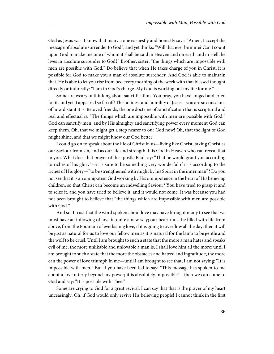God as Jesus was. I know that many a one earnestly and honestly says: "Amen, I accept the message of absolute surrender to God"; and yet thinks: "Will that ever be mine? Can I count upon God to make me one of whom it shall be said in Heaven and on earth and in Hell, he lives in absolute surrender to God?" Brother, sister, "the things which are impossible with men are possible with God." Do believe that when He takes charge of you in Christ, it is possible for God to make you a man of absolute surrender. And God is able to maintain that. He is able to let you rise from bed every morning of the week with that blessed thought directly or indirectly: "I am in God's charge. My God is working out my life for me."

Some are weary of thinking about sanctification. You pray, you have longed and cried for it, and yet it appeared so far off! The holiness and humility of Jesus—you are so conscious of how distant it is. Beloved friends, the one doctrine of sanctification that is scriptural and real and effectual is: "The things which are impossible with men are possible with God." God can sanctify men, and by His almighty and sanctifying power every moment God can keep them. Oh, that we might get a step nearer to our God now! Oh, that the light of God might shine, and that we might know our God better!

I could go on to speak about the life of Christ in us—living like Christ, taking Christ as our Saviour from sin, and as our life and strength. It is God in Heaven who can reveal that in you. What does that prayer of the apostle Paul say: "That he would grant you according to riches of his glory"—it is sure to be something very wonderful if it is according to the riches of His glory—"to be strengthened with might by his Spirit in the inner man"? Do you not see that it is an omnipotent God working by His omnipotence in the heart of His believing children, so that Christ can become an indwelling Saviour? You have tried to grasp it and to seize it, and you have tried to believe it, and it would not come. It was because you had not been brought to believe that "the things which are impossible with men are possible with God."

And so, I trust that the word spoken about love may have brought many to see that we must have an inflowing of love in quite a new way; our heart must be filled with life from above, from the Fountain of everlasting love, if it is going to overflow all the day; then it will be just as natural for us to love our fellow men as it is natural for the lamb to be gentle and the wolf to be cruel. Until I am brought to such a state that the more a man hates and speaks evil of me, the more unlikable and unlovable a man is, I shall love him all the more; until I am brought to such a state that the more the obstacles and hatred and ingratitude, the more can the power of love triumph in me—until I am brought to see that, I am not saying: "It is impossible with men." But if you have been led to say: "This message has spoken to me about a love utterly beyond my power; it is absolutely impossible"—then we can come to God and say: "It is possible with Thee."

Some are crying to God for a great revival. I can say that that is the prayer of my heart unceasingly. Oh, if God would only revive His believing people! I cannot think in the first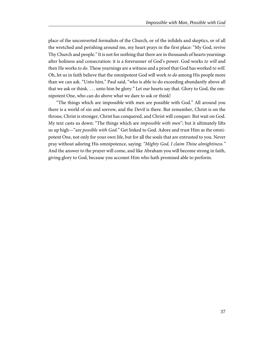place of the unconverted formalists of the Church, or of the infidels and skeptics, or of all the wretched and perishing around me, my heart prays in the first place: "My God, revive Thy Church and people." It is not for nothing that there are in thousands of hearts yearnings after holiness and consecration: it is a forerunner of God's power. God works to will and then He works to do. These yearnings are a witness and a proof that God has worked to will. Oh, let us in faith believe that the omnipotent God will work to do among His people more than we can ask. "Unto him," Paul said, "who is able to do exceeding abundantly above all that we ask or think. . . . unto him be glory." Let our hearts say that. Glory to God, the omnipotent One, who can do above what we dare to ask or think!

"The things which are impossible with men are possible with God." All around you there is a world of sin and sorrow, and the Devil is there. But remember, Christ is on the throne, Christ is stronger, Christ has conquered, and Christ will conquer. But wait on God. My text casts us down: "The things which are *impossible with men*"; but it ultimately lifts us up high—"are possible with God." Get linked to God. Adore and trust Him as the omnipotent One, not only for your own life, but for all the souls that are entrusted to you. Never pray without adoring His omnipotence, saying: "Mighty God, I claim Thine almightiness." And the answer to the prayer will come, and like Abraham you will become strong in faith, giving glory to God, because you account Him who hath promised able to perform.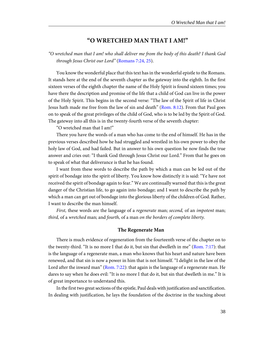# **"O WRETCHED MAN THAT I AM!"**

"O wretched man that I am! who shall deliver me from the body of this death? I thank God through Jesus Christ our Lord" [\(Romans 7:24, 25](http://www.ccel.org/study/Bible:Rom.7.24-Rom.7.25)).

You know the wonderful place that this text has in the wonderful epistle to the Romans. It stands here at the end of the seventh chapter as the gateway into the eighth. In the first sixteen verses of the eighth chapter the name of the Holy Spirit is found sixteen times; you have there the description and promise of the life that a child of God can live in the power of the Holy Spirit. This begins in the second verse: "The law of the Spirit of life in Christ Jesus hath made me free from the law of sin and death" [\(Rom. 8:12\)](http://www.ccel.org/study/Bible:Rom.8.12). From that Paul goes on to speak of the great privileges of the child of God, who is to be led by the Spirit of God. The gateway into all this is in the twenty-fourth verse of the seventh chapter:

"O wretched man that I am!"

There you have the words of a man who has come to the end of himself. He has in the previous verses described how he had struggled and wrestled in his own power to obey the holy law of God, and had failed. But in answer to his own question he now finds the true answer and cries out: "I thank God through Jesus Christ our Lord." From that he goes on to speak of what that deliverance is that he has found.

I want from these words to describe the path by which a man can be led out of the spirit of bondage into the spirit of liberty. You know how distinctly it is said: "Ye have not received the spirit of bondage again to fear." We are continually warned that this is the great danger of the Christian life, to go again into bondage; and I want to describe the path by which a man can get out of bondage into the glorious liberty of the children of God. Rather, I want to describe the man himself.

First, these words are the language of a *regenerate* man; *second*, of an *impotent* man; third, of a wretched man; and fourth, of a man on the borders of complete liberty.

### **The Regenerate Man**

There is much evidence of regeneration from the fourteenth verse of the chapter on to the twenty-third. "It is no more I that do it, but sin that dwelleth in me" [\(Rom. 7:17\)](http://www.ccel.org/study/Bible:Rom.7.17): that is the language of a regenerate man, a man who knows that his heart and nature have been renewed, and that sin is now a power in him that is not himself. "I delight in the law of the Lord after the inward man" [\(Rom. 7:22\)](http://www.ccel.org/study/Bible:Rom.7.22): that again is the language of a regenerate man. He dares to say when he does evil: "It is no more I that do it, but sin that dwelleth in me." It is of great importance to understand this.

In the first two great sections of the epistle, Paul deals with justification and sanctification. In dealing with justification, he lays the foundation of the doctrine in the teaching about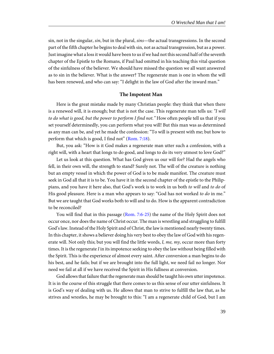sin, not in the singular, *sin*, but in the plural, *sins*—the actual transgressions. In the second part of the fifth chapter he begins to deal with sin, not as actual transgression, but as a power. Just imagine what a loss it would have been to us if we had not this second half of the seventh chapter of the Epistle to the Romans, if Paul had omitted in his teaching this vital question of the sinfulness of the believer. We should have missed the question we all want answered as to sin in the believer. What is the answer? The regenerate man is one in whom the will has been renewed, and who can say: "I delight in the law of God after the inward man."

### **The Impotent Man**

Here is the great mistake made by many Christian people: they think that when there is a renewed will, it is enough; but that is not the case. This regenerate man tells us: "I will to do what is good, but the power to perform I find not." How often people tell us that if you set yourself determinedly, you can perform what you will! But this man was as determined as any man can be, and yet he made the confession: "To will is present with me; but how to perform that which is good, I find not" [\(Rom. 7:18](http://www.ccel.org/study/Bible:Rom.7.18)).

But, you ask: "How is it God makes a regenerate man utter such a confession, with a right will, with a heart that longs to do good, and longs to do its very utmost to love God?"

Let us look at this question. What has God given us our will for? Had the angels who fell, in their own will, the strength to stand? Surely not. The will of the creature is nothing but an empty vessel in which the power of God is to be made manifest. The creature must seek in God all that it is to be. You have it in the second chapter of the epistle to the Philippians, and you have it here also, that God's work is to work in us both to will and to do of His good pleasure. Here is a man who appears to say: "God has not worked to do in me." But we are taught that God works both to will and to do. How is the apparent contradiction to be reconciled?

You will find that in this passage [\(Rom. 7:6-25\)](http://www.ccel.org/study/Bible:Rom.7.6-Rom.7.25) the name of the Holy Spirit does not occur once, nor does the name of Christ occur. The man is wrestling and struggling to fulfill God's law. Instead of the Holy Spirit and of Christ, the law is mentioned nearly twenty times. In this chapter, it shows a believer doing his very best to obey the law of God with his regenerate will. Not only this; but you will find the little words,  $I$ ,  $me$ ,  $my$ , occur more than forty times. It is the regenerate I in its impotence seeking to obey the law without being filled with the Spirit. This is the experience of almost every saint. After conversion a man begins to do his best, and he fails; but if we are brought into the full light, we need fail no longer. Nor need we fail at all if we have received the Spirit in His fullness at conversion.

God allows that failure that the regenerate man should be taught his own utter impotence. It is in the course of this struggle that there comes to us this sense of our utter sinfulness. It is God's way of dealing with us. He allows that man to strive to fulfill the law that, as he strives and wrestles, he may be brought to this: "I am a regenerate child of God, but I am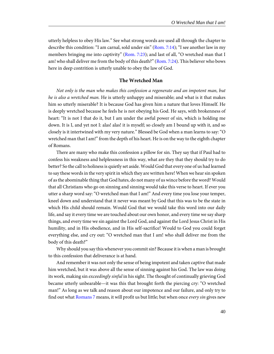utterly helpless to obey His law." See what strong words are used all through the chapter to describe this condition: "I am carnal, sold under sin" ([Rom. 7:14\)](http://www.ccel.org/study/Bible:Rom.7.14); "I see another law in my members bringing me into captivity" [\(Rom. 7:23](http://www.ccel.org/study/Bible:Rom.7.23)); and last of all, "O wretched man that I am! who shall deliver me from the body of this death?" ([Rom. 7:24\)](http://www.ccel.org/study/Bible:Rom.7.24). This believer who bows here in deep contrition is utterly unable to obey the law of God.

# **The Wretched Man**

Not only is the man who makes this confession a regenerate and an impotent man, but he is also a wretched man. He is utterly unhappy and miserable; and what is it that makes him so utterly miserable? It is because God has given him a nature that loves Himself. He is deeply wretched because he feels he is not obeying his God. He says, with brokenness of heart: "It is not I that do it, but I am under the awful power of sin, which is holding me down. It is I, and yet not I: alas! alas! it is myself; so closely am I bound up with it, and so closely is it intertwined with my very nature." Blessed be God when a man learns to say: "O wretched man that I am!" from the depth of his heart. He is on the way to the eighth chapter of Romans.

There are many who make this confession a pillow for sin. They say that if Paul had to confess his weakness and helplessness in this way, what are they that they should try to do better? So the call to holiness is quietly set aside. Would God that every one of us had learned to say these words in the very spirit in which they are written here! When we hear sin spoken of as the abominable thing that God hates, do not many of us wince before the word? Would that all Christians who go on sinning and sinning would take this verse to heart. If ever you utter a sharp word say: "O wretched man that I am!" And every time you lose your temper, kneel down and understand that it never was meant by God that this was to be the state in which His child should remain. Would God that we would take this word into our daily life, and say it every time we are touched about our own honor, and every time we say sharp things, and every time we sin against the Lord God, and against the Lord Jesus Christ in His humility, and in His obedience, and in His self-sacrifice! Would to God you could forget everything else, and cry out: "O wretched man that I am! who shall deliver me from the body of this death?"

Why should you say this whenever you commit sin? Because it is when a man is brought to this confession that deliverance is at hand.

And remember it was not only the sense of being impotent and taken captive that made him wretched, but it was above all the sense of sinning against his God. The law was doing its work, making sin exceedingly sinful in his sight. The thought of continually grieving God became utterly unbearable—it was this that brought forth the piercing cry: "O wretched man!" As long as we talk and reason about our impotence and our failure, and only try to find out what [Romans 7](http://www.ccel.org/study/Bible:Rom.7) means, it will profit us but little; but when once every sin gives new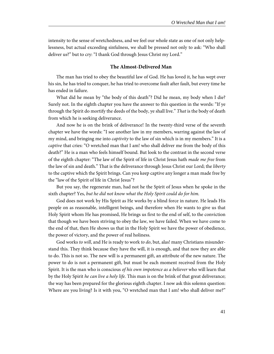intensity to the sense of wretchedness, and we feel our whole state as one of not only helplessness, but actual exceeding sinfulness, we shall be pressed not only to ask: "Who shall deliver us?" but to cry: "I thank God through Jesus Christ my Lord."

# **The Almost-Delivered Man**

The man has tried to obey the beautiful law of God. He has loved it, he has wept over his sin, he has tried to conquer, he has tried to overcome fault after fault, but every time he has ended in failure.

What did he mean by "the body of this death"? Did he mean, my body when I die? Surely not. In the eighth chapter you have the answer to this question in the words: "If ye through the Spirit do mortify the deeds of the body, ye shall live." That is the body of death from which he is seeking deliverance.

And now he is on the brink of deliverance! In the twenty-third verse of the seventh chapter we have the words: "I see another law in my members, warring against the law of my mind, and bringing me into *captivity* to the law of sin which is in my members." It is a captive that cries: "O wretched man that I am! who shall deliver me from the body of this death?" He is a man who feels himself bound. But look to the contrast in the second verse of the eighth chapter: "The law of the Spirit of life in Christ Jesus hath *made me free* from the law of sin and death." That is the deliverance through Jesus Christ our Lord; the liberty to the captive which the Spirit brings. Can you keep captive any longer a man made free by the "law of the Spirit of life in Christ Jesus"?

But you say, the regenerate man, had not he the Spirit of Jesus when he spoke in the sixth chapter? Yes, but he did not know what the Holy Spirit could do for him.

God does not work by His Spirit as He works by a blind force in nature. He leads His people on as reasonable, intelligent beings, and therefore when He wants to give us that Holy Spirit whom He has promised, He brings us first to the end of self, to the conviction that though we have been striving to obey the law, we have failed. When we have come to the end of that, then He shows us that in the Holy Spirit we have the power of obedience, the power of victory, and the power of real holiness.

God works to will, and He is ready to work to do, but, alas! many Christians misunderstand this. They think because they have the will, it is enough, and that now they are able to do. This is not so. The new will is a permanent gift, an attribute of the new nature. The power to do is not a permanent gift, but must be each moment received from the Holy Spirit. It is the man who is conscious of his own impotence as a believer who will learn that by the Holy Spirit he can live a holy life. This man is on the brink of that great deliverance; the way has been prepared for the glorious eighth chapter. I now ask this solemn question: Where are you living? Is it with you, "O wretched man that I am! who shall deliver me?"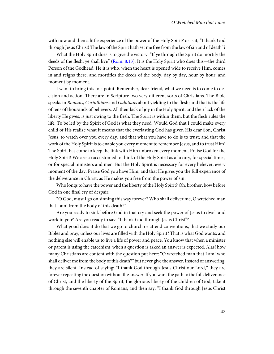with now and then a little experience of the power of the Holy Spirit? or is it, "I thank God through Jesus Christ! The law of the Spirit hath set me free from the law of sin and of death"?

What the Holy Spirit does is to give the victory. "If ye through the Spirit do mortify the deeds of the flesh, ye shall live" [\(Rom. 8:13](http://www.ccel.org/study/Bible:Rom.8.13)). It is the Holy Spirit who does this—the third Person of the Godhead. He it is who, when the heart is opened wide to receive Him, comes in and reigns there, and mortifies the deeds of the body, day by day, hour by hour, and moment by moment.

I want to bring this to a point. Remember, dear friend, what we need is to come to decision and action. There are in Scripture two very different sorts of Christians. The Bible speaks in Romans, Corinthians and Galatians about yielding to the flesh; and that is the life of tens of thousands of believers. All their lack of joy in the Holy Spirit, and their lack of the liberty He gives, is just owing to the flesh. The Spirit is within them, but the flesh rules the life. To be led by the Spirit of God is what they need. Would God that I could make every child of His realize what it means that the everlasting God has given His dear Son, Christ Jesus, to watch over you every day, and that what you have to do is to trust; and that the work of the Holy Spirit is to enable you every moment to remember Jesus, and to trust Him! The Spirit has come to keep the link with Him unbroken every moment. Praise God for the Holy Spirit! We are so accustomed to think of the Holy Spirit as a luxury, for special times, or for special ministers and men. But the Holy Spirit is necessary for every believer, every moment of the day. Praise God you have Him, and that He gives you the full experience of the deliverance in Christ, as He makes you free from the power of sin.

Who longs to have the power and the liberty of the Holy Spirit? Oh, brother, bow before God in one final cry of despair:

"O God, must I go on sinning this way forever? Who shall deliver me, O wretched man that I am! from the body of this death?"

Are you ready to sink before God in that cry and seek the power of Jesus to dwell and work in you? Are you ready to say: "I thank God through Jesus Christ"?

What good does it do that we go to church or attend conventions, that we study our Bibles and pray, unless our lives are filled with the Holy Spirit? That is what God wants; and nothing else will enable us to live a life of power and peace. You know that when a minister or parent is using the catechism, when a question is asked an answer is expected. Alas! how many Christians are content with the question put here: "O wretched man that I am! who shall deliver me from the body of this death?" but never give the answer. Instead of answering, they are silent. Instead of saying: "I thank God through Jesus Christ our Lord," they are forever repeating the question without the answer. If you want the path to the full deliverance of Christ, and the liberty of the Spirit, the glorious liberty of the children of God, take it through the seventh chapter of Romans; and then say: "I thank God through Jesus Christ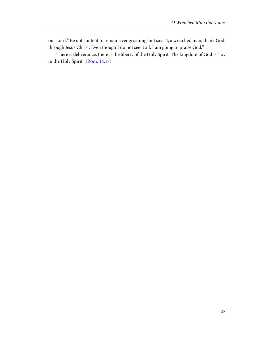our Lord." Be not content to remain ever groaning, but say: "I, a wretched man, thank God, through Jesus Christ. Even though I do not see it all, I am going to praise God."

There is deliverance, there is the liberty of the Holy Spirit. The kingdom of God is "joy in the Holy Spirit" [\(Rom. 14:17](http://www.ccel.org/study/Bible:Rom.14.17)).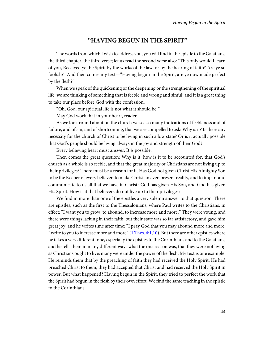# **"HAVING BEGUN IN THE SPIRIT"**

The words from which I wish to address you, you will find in the epistle to the Galatians, the third chapter, the third verse; let us read the second verse also: "This only would I learn of you, Received ye the Spirit by the works of the law, or by the hearing of faith? Are ye so foolish?" And then comes my text—"Having begun in the Spirit, are ye now made perfect by the flesh?"

When we speak of the quickening or the deepening or the strengthening of the spiritual life, we are thinking of something that is feeble and wrong and sinful; and it is a great thing to take our place before God with the confession:

"Oh, God, our spiritual life is not what it should be!"

May God work that in your heart, reader.

As we look round about on the church we see so many indications of feebleness and of failure, and of sin, and of shortcoming, that we are compelled to ask: Why is it? Is there any necessity for the church of Christ to be living in such a low state? Or is it actually possible that God's people should be living always in the joy and strength of their God?

Every believing heart must answer: It is possible.

Then comes the great question: Why is it, how is it to be accounted for, that God's church as a whole is so feeble, and that the great majority of Christians are not living up to their privileges? There must be a reason for it. Has God not given Christ His Almighty Son to be the Keeper of every believer, to make Christ an ever-present reality, and to impart and communicate to us all that we have in Christ? God has given His Son, and God has given His Spirit. How is it that believers do not live up to their privileges?

We find in more than one of the epistles a very solemn answer to that question. There are epistles, such as the first to the Thessalonians, where Paul writes to the Christians, in effect: "I want you to grow, to abound, to increase more and more." They were young, and there were things lacking in their faith, but their state was so far satisfactory, and gave him great joy, and he writes time after time: "I pray God that you may abound more and more; I write to you to increase more and more" ([1 Thes. 4:1](http://www.ccel.org/study/Bible:1Thess.4.1)[,10\)](http://www.ccel.org/study/Bible:1Thess.4.10). But there are other epistles where he takes a very different tone, especially the epistles to the Corinthians and to the Galatians, and he tells them in many different ways what the one reason was, that they were not living as Christians ought to live; many were under the power of the flesh. My text is one example. He reminds them that by the preaching of faith they had received the Holy Spirit. He had preached Christ to them; they had accepted that Christ and had received the Holy Spirit in power. But what happened? Having begun in the Spirit, they tried to perfect the work that the Spirit had begun in the flesh by their own effort. We find the same teaching in the epistle to the Corinthians.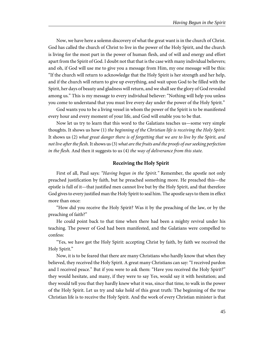Now, we have here a solemn discovery of what the great want is in the church of Christ. God has called the church of Christ to live in the power of the Holy Spirit, and the church is living for the most part in the power of human flesh, and of will and energy and effort apart from the Spirit of God. I doubt not that that is the case with many individual believers; and oh, if God will use me to give you a message from Him, my one message will be this: "If the church will return to acknowledge that the Holy Spirit is her strength and her help, and if the church will return to give up everything, and wait upon God to be filled with the Spirit, her days of beauty and gladness will return, and we shall see the glory of God revealed among us." This is my message to every individual believer: "Nothing will help you unless you come to understand that you must live every day under the power of the Holy Spirit."

God wants you to be a living vessel in whom the power of the Spirit is to be manifested every hour and every moment of your life, and God will enable you to be that.

Now let us try to learn that this word to the Galatians teaches us—some very simple thoughts. It shows us how (1) the beginning of the Christian life is receiving the Holy Spirit. It shows us (2) what great danger there is of forgetting that we are to live by the Spirit, and not live after the flesh. It shows us (3) what are the fruits and the proofs of our seeking perfection in the flesh. And then it suggests to us (4) the way of deliverance from this state.

# **Receiving the Holy Spirit**

First of all, Paul says: "Having begun in the Spirit." Remember, the apostle not only preached justification by faith, but he preached something more. He preached this—the epistle is full of it—that justified men cannot live but by the Holy Spirit, and that therefore God gives to every justified man the Holy Spirit to seal him. The apostle says to them in effect more than once:

"How did you receive the Holy Spirit? Was it by the preaching of the law, or by the preaching of faith?"

He could point back to that time when there had been a mighty revival under his teaching. The power of God had been manifested, and the Galatians were compelled to confess:

"Yes, we have got the Holy Spirit: accepting Christ by faith, by faith we received the Holy Spirit."

Now, it is to be feared that there are many Christians who hardly know that when they believed, they received the Holy Spirit. A great many Christians can say: "I received pardon and I received peace." But if you were to ask them: "Have you received the Holy Spirit?" they would hesitate, and many, if they were to say Yes, would say it with hesitation; and they would tell you that they hardly knew what it was, since that time, to walk in the power of the Holy Spirit. Let us try and take hold of this great truth: The beginning of the true Christian life is to receive the Holy Spirit. And the work of every Christian minister is that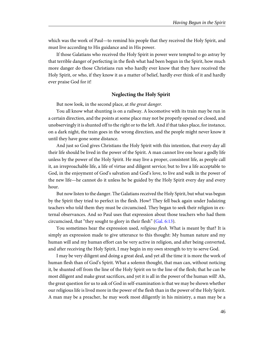which was the work of Paul—to remind his people that they received the Holy Spirit, and must live according to His guidance and in His power.

If those Galatians who received the Holy Spirit in power were tempted to go astray by that terrible danger of perfecting in the flesh what had been begun in the Spirit, how much more danger do those Christians run who hardly ever know that they have received the Holy Spirit, or who, if they know it as a matter of belief, hardly ever think of it and hardly ever praise God for it!

# **Neglecting the Holy Spirit**

But now look, in the second place, at the great danger.

You all know what shunting is on a railway. A locomotive with its train may be run in a certain direction, and the points at some place may not be properly opened or closed, and unobservingly it is shunted off to the right or to the left. And if that takes place, for instance, on a dark night, the train goes in the wrong direction, and the people might never know it until they have gone some distance.

And just so God gives Christians the Holy Spirit with this intention, that every day all their life should be lived in the power of the Spirit. A man cannot live one hour a godly life unless by the power of the Holy Spirit. He may live a proper, consistent life, as people call it, an irreproachable life, a life of virtue and diligent service; but to live a life acceptable to God, in the enjoyment of God's salvation and God's love, to live and walk in the power of the new life—he cannot do it unless he be guided by the Holy Spirit every day and every hour.

But now listen to the danger. The Galatians received the Holy Spirit, but what was begun by the Spirit they tried to perfect in the flesh. How? They fell back again under Judaizing teachers who told them they must be circumcised. They began to seek their religion in external observances. And so Paul uses that expression about those teachers who had them circumcised, that "they sought to glory in their flesh" [\(Gal. 6:13](http://www.ccel.org/study/Bible:Gal.6.13)).

You sometimes hear the expression used, *religious flesh*. What is meant by that? It is simply an expression made to give utterance to this thought: My human nature and my human will and my human effort can be very active in religion, and after being converted, and after receiving the Holy Spirit, I may begin in my own strength to try to serve God.

I may be very diligent and doing a great deal, and yet all the time it is more the work of human flesh than of God's Spirit. What a solemn thought, that man can, without noticing it, be shunted off from the line of the Holy Spirit on to the line of the flesh; that he can be most diligent and make great sacrifices, and yet it is all in the power of the human will! Ah, the great question for us to ask of God in self-examination is that we may be shown whether our religious life is lived more in the power of the flesh than in the power of the Holy Spirit. A man may be a preacher, he may work most diligently in his ministry, a man may be a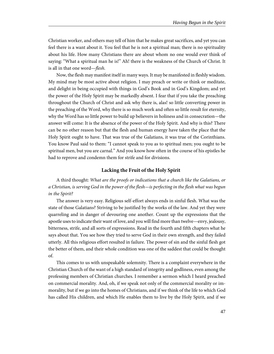Christian worker, and others may tell of him that he makes great sacrifices, and yet you can feel there is a want about it. You feel that he is not a spiritual man; there is no spirituality about his life. How many Christians there are about whom no one would ever think of saying: "What a spiritual man he is!" Ah! there is the weakness of the Church of Christ. It is all in that one word—flesh.

Now, the flesh may manifest itself in many ways. It may be manifested in fleshly wisdom. My mind may be most active about religion. I may preach or write or think or meditate, and delight in being occupied with things in God's Book and in God's Kingdom; and yet the power of the Holy Spirit may be markedly absent. I fear that if you take the preaching throughout the Church of Christ and ask why there is, alas! so little converting power in the preaching of the Word, why there is so much work and often so little result for eternity, why the Word has so little power to build up believers in holiness and in consecration—the answer will come: It is the absence of the power of the Holy Spirit. And why is this? There can be no other reason but that the flesh and human energy have taken the place that the Holy Spirit ought to have. That was true of the Galatians, it was true of the Corinthians. You know Paul said to them: "I cannot speak to you as to spiritual men; you ought to be spiritual men, but you are carnal." And you know how often in the course of his epistles he had to reprove and condemn them for strife and for divisions.

# **Lacking the Fruit of the Holy Spirit**

A third thought: What are the proofs or indications that a church like the Galatians, or a Christian, is serving God in the power of the flesh—is perfecting in the flesh what was begun in the Spirit?

The answer is very easy. Religious self-effort always ends in sinful flesh. What was the state of those Galatians? Striving to be justified by the works of the law. And yet they were quarreling and in danger of devouring one another. Count up the expressions that the apostle uses to indicate their want of love, and you will find more than twelve—envy, jealousy, bitterness, strife, and all sorts of expressions. Read in the fourth and fifth chapters what he says about that. You see how they tried to serve God in their own strength, and they failed utterly. All this religious effort resulted in failure. The power of sin and the sinful flesh got the better of them, and their whole condition was one of the saddest that could be thought of.

This comes to us with unspeakable solemnity. There is a complaint everywhere in the Christian Church of the want of a high standard of integrity and godliness, even among the professing members of Christian churches. I remember a sermon which I heard preached on commercial morality. And, oh, if we speak not only of the commercial morality or immorality, but if we go into the homes of Christians, and if we think of the life to which God has called His children, and which He enables them to live by the Holy Spirit, and if we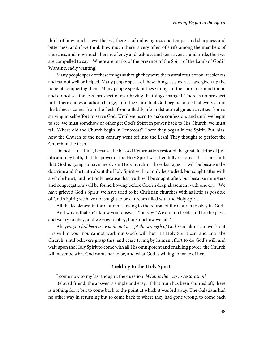think of how much, nevertheless, there is of unlovingness and temper and sharpness and bitterness, and if we think how much there is very often of strife among the members of churches, and how much there is of envy and jealousy and sensitiveness and pride, then we are compelled to say: "Where are marks of the presence of the Spirit of the Lamb of God?" Wanting, sadly wanting!

Many people speak of these things as though they were the natural result of our feebleness and cannot well be helped. Many people speak of these things as sins, yet have given up the hope of conquering them. Many people speak of these things in the church around them, and do not see the least prospect of ever having the things changed. There is no prospect until there comes a radical change, until the Church of God begins to see that every sin in the believer comes from the flesh, from a fleshly life midst our religious activities, from a striving in self-effort to serve God. Until we learn to make confession, and until we begin to see, we must somehow or other get God's Spirit in power back to His Church, we must fail. Where did the Church begin in Pentecost? There they began in the Spirit. But, alas, how the Church of the next century went off into the flesh! They thought to perfect the Church in the flesh.

Do not let us think, because the blessed Reformation restored the great doctrine of justification by faith, that the power of the Holy Spirit was then fully restored. If it is our faith that God is going to have mercy on His Church in these last ages, it will be because the doctrine and the truth about the Holy Spirit will not only be studied, but sought after with a whole heart; and not only because that truth will be sought after, but because ministers and congregations will be found bowing before God in deep abasement with one cry: "We have grieved God's Spirit; we have tried to be Christian churches with as little as possible of God's Spirit; we have not sought to be churches filled with the Holy Spirit."

All the feebleness in the Church is owing to the refusal of the Church to obey its God.

And why is that so? I know your answer. You say: "We are too feeble and too helpless, and we try to obey, and we vow to obey, but somehow we fail."

Ah, yes, you fail because you do not accept the strength of God. God alone can work out His will in you. You cannot work out God's will, but His Holy Spirit can; and until the Church, until believers grasp this, and cease trying by human effort to do God's will, and wait upon the Holy Spirit to come with all His omnipotent and enabling power, the Church will never be what God wants her to be, and what God is willing to make of her.

# **Yielding to the Holy Spirit**

I come now to my last thought, the question: What is the way to restoration?

Beloved friend, the answer is simple and easy. If that train has been shunted off, there is nothing for it but to come back to the point at which it was led away. The Galatians had no other way in returning but to come back to where they had gone wrong, to come back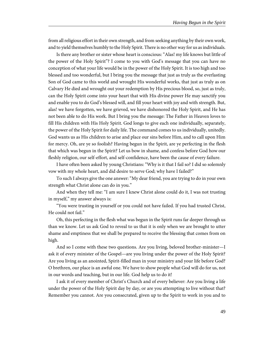from all religious effort in their own strength, and from seeking anything by their own work, and to yield themselves humbly to the Holy Spirit. There is no other way for us as individuals.

Is there any brother or sister whose heart is conscious: "Alas! my life knows but little of the power of the Holy Spirit"? I come to you with God's message that you can have no conception of what your life would be in the power of the Holy Spirit. It is too high and too blessed and too wonderful, but I bring you the message that just as truly as the everlasting Son of God came to this world and wrought His wonderful works, that just as truly as on Calvary He died and wrought out your redemption by His precious blood, so, just as truly, can the Holy Spirit come into your heart that with His divine power He may sanctify you and enable you to do God's blessed will, and fill your heart with joy and with strength. But, alas! we have forgotten, we have grieved, we have dishonored the Holy Spirit, and He has not been able to do His work. But I bring you the message: The Father in Heaven loves to fill His children with His Holy Spirit. God longs to give each one individually, separately, the power of the Holy Spirit for daily life. The command comes to us individually, unitedly. God wants us as His children to arise and place our sins before Him, and to call upon Him for mercy. Oh, are ye so foolish? Having begun in the Spirit, are ye perfecting in the flesh that which was begun in the Spirit? Let us bow in shame, and confess before God how our fleshly religion, our self-effort, and self-confidence, have been the cause of every failure.

I have often been asked by young Christians: "Why is it that I fail so? I did so solemnly vow with my whole heart, and did desire to serve God; why have I failed?"

To such I always give the one answer: "My dear friend, you are trying to do in your own strength what Christ alone can do in you."

And when they tell me: "I am sure I knew Christ alone could do it, I was not trusting in myself," my answer always is:

"You were trusting in yourself or you could not have failed. If you had trusted Christ, He could not fail."

Oh, this perfecting in the flesh what was begun in the Spirit runs far deeper through us than we know. Let us ask God to reveal to us that it is only when we are brought to utter shame and emptiness that we shall be prepared to receive the blessing that comes from on high.

And so I come with these two questions. Are you living, beloved brother-minister—I ask it of every minister of the Gospel—are you living under the power of the Holy Spirit? Are you living as an anointed, Spirit-filled man in your ministry and your life before God? O brethren, our place is an awful one. We have to show people what God will do for us, not in our words and teaching, but in our life. God help us to do it!

I ask it of every member of Christ's Church and of every believer: Are you living a life under the power of the Holy Spirit day by day, or are you attempting to live without that? Remember you cannot. Are you consecrated, given up to the Spirit to work in you and to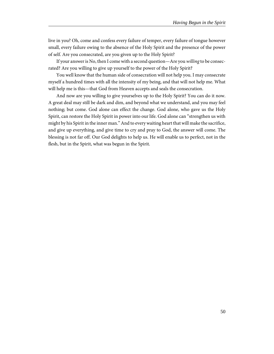live in you? Oh, come and confess every failure of temper, every failure of tongue however small, every failure owing to the absence of the Holy Spirit and the presence of the power of self. Are you consecrated, are you given up to the Holy Spirit?

If your answer is No, then I come with a second question—Are you willing to be consecrated? Are you willing to give up yourself to the power of the Holy Spirit?

You well know that the human side of consecration will not help you. I may consecrate myself a hundred times with all the intensity of my being, and that will not help me. What will help me is this—that God from Heaven accepts and seals the consecration.

And now are you willing to give yourselves up to the Holy Spirit? You can do it now. A great deal may still be dark and dim, and beyond what we understand, and you may feel nothing; but come. God alone can effect the change. God alone, who gave us the Holy Spirit, can restore the Holy Spirit in power into our life. God alone can "strengthen us with might by his Spirit in the inner man." And to every waiting heart that will make the sacrifice, and give up everything, and give time to cry and pray to God, the answer will come. The blessing is not far off. Our God delights to help us. He will enable us to perfect, not in the flesh, but in the Spirit, what was begun in the Spirit.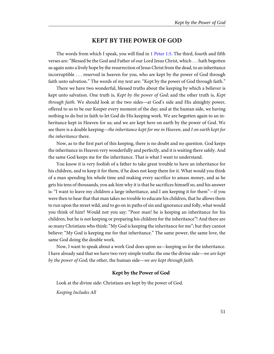# **KEPT BY THE POWER OF GOD**

The words from which I speak, you will find in [1 Peter 1:5.](http://www.ccel.org/study/Bible:1Pet.1.5) The third, fourth and fifth verses are: "Blessed be the God and Father of our Lord Jesus Christ, which . . . hath begotten us again unto a lively hope by the resurrection of Jesus Christ from the dead, to an inheritance incorruptible . . . reserved in heaven for you, who are kept by the power of God through faith unto salvation." The words of my text are: "Kept by the power of God through faith."

There we have two wonderful, blessed truths about the keeping by which a believer is kept unto salvation. One truth is, Kept by the power of God; and the other truth is, Kept through faith. We should look at the two sides—at God's side and His almighty power, offered to us to be our Keeper every moment of the day; and at the human side, we having nothing to do but in faith to let God do His keeping work. We are begotten again to an inheritance kept in Heaven for us; and we are kept here on earth by the power of God. We see there is a double keeping—the inheritance kept for me in Heaven, and I on earth kept for the inheritance there.

Now, as to the first part of this keeping, there is no doubt and no question. God keeps the inheritance in Heaven very wonderfully and perfectly, and it is waiting there safely. And the same God keeps me for the inheritance. That is what I want to understand.

You know it is very foolish of a father to take great trouble to have an inheritance for his children, and to keep it for them, if he does not keep them for it. What would you think of a man spending his whole time and making every sacrifice to amass money, and as he gets his tens of thousands, you ask him why it is that he sacrifices himself so, and his answer is: "I want to leave my children a large inheritance, and I am keeping it for them"—if you were then to hear that that man takes no trouble to educate his children, that he allows them to run upon the street wild, and to go on in paths of sin and ignorance and folly, what would you think of him? Would not you say: "Poor man! he is keeping an inheritance for his children, but he is not keeping or preparing his children for the inheritance"! And there are so many Christians who think: "My God is keeping the inheritance for me"; but they cannot believe: "My God is keeping me for that inheritance." The same power, the same love, the same God doing the double work.

Now, I want to speak about a work God does upon us—keeping us for the inheritance. I have already said that we have two very simple truths: the one the divine side—we are kept by the power of God; the other, the human side—we are kept through faith.

# **Kept by the Power of God**

Look at the divine side: Christians are kept by the power of God.

Keeping Includes All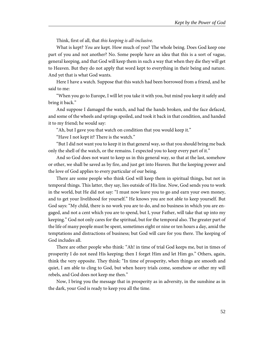Think, first of all, that this keeping is all-inclusive.

What is kept? You are kept. How much of you? The whole being. Does God keep one part of you and not another? No. Some people have an idea that this is a sort of vague, general keeping, and that God will keep them in such a way that when they die they will get to Heaven. But they do not apply that word kept to everything in their being and nature. And yet that is what God wants.

Here I have a watch. Suppose that this watch had been borrowed from a friend, and he said to me:

"When you go to Europe, I will let you take it with you, but mind you keep it safely and bring it back."

And suppose I damaged the watch, and had the hands broken, and the face defaced, and some of the wheels and springs spoiled, and took it back in that condition, and handed it to my friend; he would say:

"Ah, but I gave you that watch on condition that you would keep it."

"Have I not kept it? There is the watch."

"But I did not want you to keep it in that general way, so that you should bring me back only the shell of the watch, or the remains. I expected you to keep every part of it."

And so God does not want to keep us in this general way, so that at the last, somehow or other, we shall be saved as by fire, and just get into Heaven. But the keeping power and the love of God applies to every particular of our being.

There are some people who think God will keep them in spiritual things, but not in temporal things. This latter, they say, lies outside of His line. Now, God sends you to work in the world, but He did not say: "I must now leave you to go and earn your own money, and to get your livelihood for yourself." He knows you are not able to keep yourself. But God says: "My child, there is no work you are to do, and no business in which you are engaged, and not a cent which you are to spend, but I, your Father, will take that up into my keeping." God not only cares for the spiritual, but for the temporal also. The greater part of the life of many people must be spent, sometimes eight or nine or ten hours a day, amid the temptations and distractions of business; but God will care for you there. The keeping of God includes all.

There are other people who think: "Ah! in time of trial God keeps me, but in times of prosperity I do not need His keeping; then I forget Him and let Him go." Others, again, think the very opposite. They think: "In time of prosperity, when things are smooth and quiet, I am able to cling to God, but when heavy trials come, somehow or other my will rebels, and God does not keep me then."

Now, I bring you the message that in prosperity as in adversity, in the sunshine as in the dark, your God is ready to keep you all the time.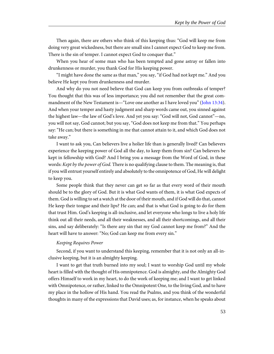Then again, there are others who think of this keeping thus: "God will keep me from doing very great wickedness, but there are small sins I cannot expect God to keep me from. There is the sin of temper. I cannot expect God to conquer that."

When you hear of some man who has been tempted and gone astray or fallen into drunkenness or murder, you thank God for His keeping power.

"I might have done the same as that man," you say, "if God had not kept me." And you believe He kept you from drunkenness and murder.

And why do you not need believe that God can keep you from outbreaks of temper? You thought that this was of less importance; you did not remember that the great commandment of the New Testament is—"Love one another as I have loved you" ([John 13:34\)](http://www.ccel.org/study/Bible:John.13.34). And when your temper and hasty judgment and sharp words came out, you sinned against the highest law—the law of God's love. And yet you say: "God will not, God cannot"—no, you will not say, God cannot; but you say, "God does not keep me from that." You perhaps say: "He can; but there is something in me that cannot attain to it, and which God does not take away."

I want to ask you, Can believers live a holier life than is generally lived? Can believers experience the keeping power of God all the day, to keep them from sin? Can believers be kept in fellowship with God? And I bring you a message from the Word of God, in these words: Kept by the power of God. There is no qualifying clause to them. The meaning is, that if you will entrust yourself entirely and absolutely to the omnipotence of God, He will delight to keep you.

Some people think that they never can get so far as that every word of their mouth should be to the glory of God. But it is what God wants of them, it is what God expects of them. God is willing to set a watch at the door of their mouth, and if God will do that, cannot He keep their tongue and their lips? He can; and that is what God is going to do for them that trust Him. God's keeping is all-inclusive, and let everyone who longs to live a holy life think out all their needs, and all their weaknesses, and all their shortcomings, and all their sins, and say deliberately: "Is there any sin that my God cannot keep me from?" And the heart will have to answer: "No; God can keep me from every sin."

#### Keeping Requires Power

Second, if you want to understand this keeping, remember that it is not only an all-inclusive keeping, but it is an almighty keeping.

I want to get that truth burned into my soul; I want to worship God until my whole heart is filled with the thought of His omnipotence. God is almighty, and the Almighty God offers Himself to work in my heart, to do the work of keeping me; and I want to get linked with Omnipotence, or rather, linked to the Omnipotent One, to the living God, and to have my place in the hollow of His hand. You read the Psalms, and you think of the wonderful thoughts in many of the expressions that David uses; as, for instance, when he speaks about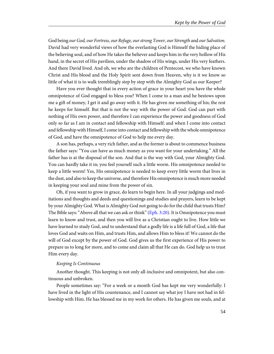God being our God, our Fortress, our Refuge, our strong Tower, our Strength and our Salvation. David had very wonderful views of how the everlasting God is Himself the hiding place of the believing soul, and of how He takes the believer and keeps him in the very hollow of His hand, in the secret of His pavilion, under the shadow of His wings, under His very feathers. And there David lived. And oh, we who are the children of Pentecost, we who have known Christ and His blood and the Holy Spirit sent down from Heaven, why is it we know so little of what it is to walk tremblingly step by step with the Almighty God as our Keeper?

Have you ever thought that in every action of grace in your heart you have the whole omnipotence of God engaged to bless you? When I come to a man and he bestows upon me a gift of money, I get it and go away with it. He has given me something of his; the rest he keeps for himself. But that is not the way with the power of God. God can part with nothing of His own power, and therefore I can experience the power and goodness of God only so far as I am in contact and fellowship with Himself; and when I come into contact and fellowship with Himself, I come into contact and fellowship with the whole omnipotence of God, and have the omnipotence of God to help me every day.

A son has, perhaps, a very rich father, and as the former is about to commence business the father says: "You can have as much money as you want for your undertaking." All the father has is at the disposal of the son. And that is the way with God, your Almighty God. You can hardly take it in; you feel yourself such a little worm. His omnipotence needed to keep a little worm! Yes, His omnipotence is needed to keep every little worm that lives in the dust, and also to keep the universe, and therefore His omnipotence is much more needed in keeping your soul and mine from the power of sin.

Oh, if you want to grow in grace, do learn to begin here. In all your judgings and meditations and thoughts and deeds and questionings and studies and prayers, learn to be kept by your Almighty God. What is Almighty God not going to do for the child that trusts Him? The Bible says: "Above all that we can ask or think" ([Eph. 3:20](http://www.ccel.org/study/Bible:Eph.3.20)). It is Omnipotence you must learn to know and trust, and then you will live as a Christian ought to live. How little we have learned to study God, and to understand that a godly life is a life full of God, a life that loves God and waits on Him, and trusts Him, and allows Him to bless it! We cannot do the will of God except by the power of God. God gives us the first experience of His power to prepare us to long for more, and to come and claim all that He can do. God help us to trust Him every day.

#### Keeping Is Continuous

Another thought. This keeping is not only all-inclusive and omnipotent, but also continuous and unbroken.

People sometimes say: "For a week or a month God has kept me very wonderfully: I have lived in the light of His countenance, and I cannot say what joy I have not had in fellowship with Him. He has blessed me in my work for others. He has given me souls, and at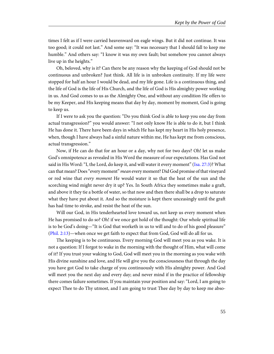times I felt as if I were carried heavenward on eagle wings. But it did not continue. It was too good; it could not last." And some say: "It was necessary that I should fall to keep me humble." And others say: "I know it was my own fault; but somehow you cannot always live up in the heights."

Oh, beloved, why is it? Can there be any reason why the keeping of God should not be continuous and unbroken? Just think. All life is in unbroken continuity. If my life were stopped for half an hour I would be dead, and my life gone. Life is a continuous thing, and the life of God is the life of His Church, and the life of God is His almighty power working in us. And God comes to us as the Almighty One, and without any condition He offers to be my Keeper, and His keeping means that day by day, moment by moment, God is going to keep us.

If I were to ask you the question: "Do you think God is able to keep you one day from actual transgression?" you would answer: "I not only know He is able to do it, but I think He has done it. There have been days in which He has kept my heart in His holy presence, when, though I have always had a sinful nature within me, He has kept me from conscious, actual transgression."

Now, if He can do that for an hour or a day, why not for two days? Oh! let us make God's omnipotence as revealed in His Word the measure of our expectations. Has God not said in His Word: "I, the Lord, do keep it, and will water it every moment" ([Isa. 27:3](http://www.ccel.org/study/Bible:Isa.27.3))? What can that mean? Does "every moment" *mean* every moment? Did God promise of that vineyard or red wine that every moment He would water it so that the heat of the sun and the scorching wind might never dry it up? Yes. In South Africa they sometimes make a graft, and above it they tie a bottle of water, so that now and then there shall be a drop to saturate what they have put about it. And so the moisture is kept there unceasingly until the graft has had time to stroke, and resist the heat of the sun.

Will our God, in His tenderhearted love toward us, not keep us every moment when He has promised to do so? Oh! if we once got hold of the thought: Our whole spiritual life is to be God's doing—"It is God that worketh in us to will and to do of his good pleasure" ([Phil. 2:13\)](http://www.ccel.org/study/Bible:Phil.2.13)—when once we get faith to expect that from God, God will do all for us.

The keeping is to be continuous. Every morning God will meet you as you wake. It is not a question: If I forgot to wake in the morning with the thought of Him, what will come of it? If you trust your waking to God, God will meet you in the morning as you wake with His divine sunshine and love, and He will give you the consciousness that through the day you have got God to take charge of you continuously with His almighty power. And God will meet you the next day and every day; and never mind if in the practice of fellowship there comes failure sometimes. If you maintain your position and say: "Lord, I am going to expect Thee to do Thy utmost, and I am going to trust Thee day by day to keep me abso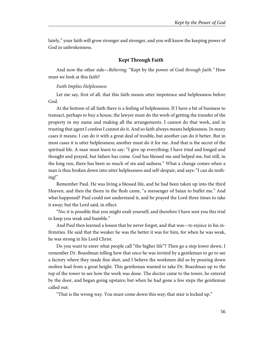lutely," your faith will grow stronger and stronger, and you will know the keeping power of God in unbrokenness.

### **Kept Through Faith**

And now the other side—Believing. "Kept by the power of God through faith." How must we look at this faith?

# Faith Implies Helplessness

Let me say, first of all, that this faith means utter impotence and helplessness before God.

At the bottom of all faith there is a feeling of helplessness. If I have a bit of business to transact, perhaps to buy a house, the lawyer must do the work of getting the transfer of the property in my name and making all the arrangements. I cannot do that work, and in trusting that agent I confess I cannot do it. And so faith always means helplessness. In many cases it means: I can do it with a great deal of trouble, but another can do it better. But in most cases it is utter helplessness; another must do it for me. And that is the secret of the spiritual life. A man must learn to say: "I give up everything; I have tried and longed and thought and prayed, but failure has come. God has blessed me and helped me, but still, in the long run, there has been so much of sin and sadness." What a change comes when a man is thus broken down into utter helplessness and self-despair, and says: "I can do nothing!"

Remember Paul. He was living a blessed life, and he had been taken up into the third Heaven, and then the thorn in the flesh came, "a messenger of Satan to buffet me." And what happened? Paul could not understand it, and he prayed the Lord three times to take it away; but the Lord said, in effect:

"No; it is possible that you might exalt yourself, and therefore I have sent you this trial to keep you weak and humble."

And Paul then learned a lesson that he never forgot, and that was—to rejoice in his infirmities. He said that the weaker he was the better it was for him, for when he was weak, he was strong in his Lord Christ.

Do you want to enter what people call "the higher life"? Then go a step lower down. I remember Dr. Boardman telling how that once he was invited by a gentleman to go to see a factory where they made fine shot, and I believe the workmen did so by pouring down molten lead from a great height. This gentleman wanted to take Dr. Boardman up to the top of the tower to see how the work was done. The doctor came to the tower, he entered by the door, and began going upstairs; but when he had gone a few steps the gentleman called out:

"That is the wrong way. You must come down this way; that stair is locked up."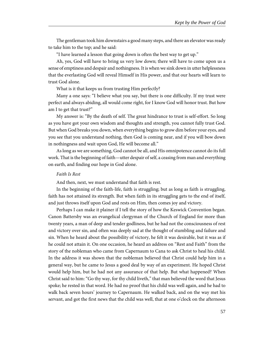The gentleman took him downstairs a good many steps, and there an elevator was ready to take him to the top; and he said:

"I have learned a lesson that going down is often the best way to get up."

Ah, yes, God will have to bring us very low down; there will have to come upon us a sense of emptiness and despair and nothingness. It is when we sink down in utter helplessness that the everlasting God will reveal Himself in His power, and that our hearts will learn to trust God alone.

What is it that keeps us from trusting Him perfectly?

Many a one says: "I believe what you say, but there is one difficulty. If my trust were perfect and always abiding, all would come right, for I know God will honor trust. But how am I to get that trust?"

My answer is: "By the death of self. The great hindrance to trust is self-effort. So long as you have got your own wisdom and thoughts and strength, you cannot fully trust God. But when God breaks you down, when everything begins to grow dim before your eyes, and you see that you understand nothing, then God is coming near, and if you will bow down in nothingness and wait upon God, He will become all."

As long as we are something, God cannot be all, and His omnipotence cannot do its full work. That is the beginning of faith—utter despair of self, a ceasing from man and everything on earth, and finding our hope in God alone.

#### Faith Is Rest

And then, next, we must understand that faith is rest.

In the beginning of the faith-life, faith is struggling; but as long as faith is struggling, faith has not attained its strength. But when faith in its struggling gets to the end of itself, and just throws itself upon God and rests on Him, then comes joy and victory.

Perhaps I can make it plainer if I tell the story of how the Keswick Convention began. Canon Battersby was an evangelical clergyman of the Church of England for more than twenty years, a man of deep and tender godliness, but he had not the consciousness of rest and victory over sin, and often was deeply sad at the thought of stumbling and failure and sin. When he heard about the possibility of victory, he felt it was desirable, but it was as if he could not attain it. On one occasion, he heard an address on "Rest and Faith" from the story of the nobleman who came from Capernaum to Cana to ask Christ to heal his child. In the address it was shown that the nobleman believed that Christ could help him in a general way, but he came to Jesus a good deal by way of an experiment. He hoped Christ would help him, but he had not any assurance of that help. But what happened? When Christ said to him: "Go thy way, for thy child liveth," that man believed the word that Jesus spoke; he rested in that word. He had no proof that his child was well again, and he had to walk back seven hours' journey to Capernaum. He walked back, and on the way met his servant, and got the first news that the child was well, that at one o'clock on the afternoon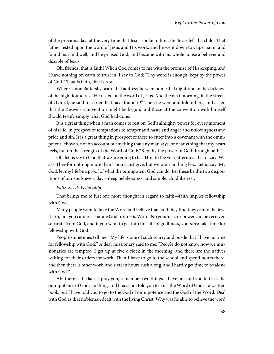of the previous day, at the very time that Jesus spoke to him, the fever left the child. That father rested upon the word of Jesus and His work, and he went down to Capernaum and found his child well; and he praised God, and became with his whole house a believer and disciple of Jesus.

Oh, friends, that is faith! When God comes to me with the promise of His keeping, and I have nothing on earth to trust in, I say to God: "Thy word is enough; kept by the power of God." That is faith, that is rest.

When Canon Battersby heard that address, he went home that night, and in the darkness of the night found rest. He rested on the word of Jesus. And the next morning, in the streets of Oxford, he said to a friend: "I have found it!" Then he went and told others, and asked that the Keswick Convention might be begun, and those at the convention with himself should testify simply what God had done.

It is a great thing when a man comes to rest on God's almighty power for every moment of his life, in prospect of temptations to temper and haste and anger and unlovingness and pride and sin. It is a great thing in prospect of these to enter into a covenant with the omnipotent Jehovah, not on account of anything that any man says, or of anything that my heart feels, but on the strength of the Word of God: "Kept by the power of God through faith."

Oh, let us say to God that we are going to test Him to the very uttermost. Let us say: We ask Thee for nothing more than Thou canst give, but we want nothing less. Let us say: My God, let my life be a proof of what the omnipotent God can do. Let these be the two dispositions of our souls every day—deep helplessness, and simple, childlike rest.

#### Faith Needs Fellowship

That brings me to just one more thought in regard to faith—faith implies fellowship with God.

Many people want to take the Word and believe that, and they find they cannot believe it. Ah, no! you cannot separate God from His Word. No goodness or power can be received separate from God, and if you want to get into this life of godliness, you *must* take time for fellowship with God.

People sometimes tell me: "My life is one of such scurry and bustle that I have no time for fellowship with God." A dear missionary said to me: "People do not know how we missionaries are tempted. I get up at five o'clock in the morning, and there are the natives waiting for their orders for work. Then I have to go to the school and spend hours there; and then there is other work, and sixteen hours rush along, and I hardly get time to be alone with God."

Ah! there is the lack. I pray you, remember two things. I have not told you to trust the omnipotence of God as a thing, and I have not told you to trust the Word of God as a written book, but I have told you to go to the God of omnipotence and the God of the Word. Deal with God as that nobleman dealt with the living Christ. Why was he able to believe the word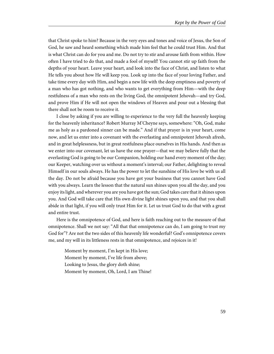that Christ spoke to him? Because in the very eyes and tones and voice of Jesus, the Son of God, he saw and heard something which made him feel that he could trust Him. And that is what Christ can do for you and me. Do not try to stir and arouse faith from within. How often I have tried to do that, and made a fool of myself! You cannot stir up faith from the depths of your heart. Leave your heart, and look into the face of Christ, and listen to what He tells you about how He will keep you. Look up into the face of your loving Father, and take time every day with Him, and begin a new life with the deep emptiness and poverty of a man who has got nothing, and who wants to get everything from Him—with the deep restfulness of a man who rests on the living God, the omnipotent Jehovah—and try God, and prove Him if He will not open the windows of Heaven and pour out a blessing that there shall not be room to receive it.

I close by asking if you are willing to experience to the very full the heavenly keeping for the heavenly inheritance? Robert Murray M'Cheyne says, somewhere: "Oh, God, make me as holy as a pardoned sinner can be made." And if that prayer is in your heart, come now, and let us enter into a covenant with the everlasting and omnipotent Jehovah afresh, and in great helplessness, but in great restfulness place ourselves in His hands. And then as we enter into our covenant, let us have the one prayer—that we may believe fully that the everlasting God is going to be our Companion, holding our hand every moment of the day; our Keeper, watching over us without a moment's interval; our Father, delighting to reveal Himself in our souls always. He has the power to let the sunshine of His love be with us all the day. Do not be afraid because you have got your business that you cannot have God with you always. Learn the lesson that the natural sun shines upon you all the day, and you enjoy its light, and wherever you are you have got the sun; God takes care that it shines upon you. And God will take care that His own divine light shines upon you, and that you shall abide in that light, if you will only trust Him for it. Let us trust God to do that with a great and entire trust.

Here is the omnipotence of God, and here is faith reaching out to the measure of that omnipotence. Shall we not say: "All that that omnipotence can do, I am going to trust my God for"? Are not the two sides of this heavenly life wonderful? God's omnipotence covers me, and my will in its littleness rests in that omnipotence, and rejoices in it!

Moment by moment, I'm kept in His love; Moment by moment, I've life from above; Looking to Jesus, the glory doth shine; Moment by moment, Oh, Lord, I am Thine!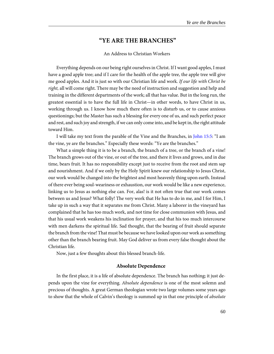# **"YE ARE THE BRANCHES"**

#### An Address to Christian Workers

Everything depends on our being right ourselves in Christ. If I want good apples, I must have a good apple tree; and if I care for the health of the apple tree, the apple tree will give me good apples. And it is just so with our Christian life and work. If our life with Christ be right, all will come right. There may be the need of instruction and suggestion and help and training in the different departments of the work; all that has value. But in the long run, the greatest essential is to have the full life in Christ—in other words, to have Christ in us, working through us. I know how much there often is to disturb us, or to cause anxious questionings; but the Master has such a blessing for every one of us, and such perfect peace and rest, and such joy and strength, if we can only come into, and be kept in, the right attitude toward Him.

I will take my text from the parable of the Vine and the Branches, in [John 15:5:](http://www.ccel.org/study/Bible:John.15.5) "I am the vine, ye are the branches." Especially these words: "Ye are the branches."

What a simple thing it is to be a branch, the branch of a tree, or the branch of a vine! The branch grows out of the vine, or out of the tree, and there it lives and grows, and in due time, bears fruit. It has no responsibility except just to receive from the root and stem sap and nourishment. And if we only by the Holy Spirit knew our relationship to Jesus Christ, our work would be changed into the brightest and most heavenly thing upon earth. Instead of there ever being soul-weariness or exhaustion, our work would be like a new experience, linking us to Jesus as nothing else can. For, alas! is it not often true that our work comes between us and Jesus? What folly! The very work that He has to do in me, and I for Him, I take up in such a way that it separates me from Christ. Many a laborer in the vineyard has complained that he has too much work, and not time for close communion with Jesus, and that his usual work weakens his inclination for prayer, and that his too much intercourse with men darkens the spiritual life. Sad thought, that the bearing of fruit should separate the branch from the vine! That must be because we have looked upon our work as something other than the branch bearing fruit. May God deliver us from every false thought about the Christian life.

Now, just a few thoughts about this blessed branch-life.

# **Absolute Dependence**

In the first place, it is a life of absolute dependence. The branch has nothing; it just depends upon the vine for everything. Absolute dependence is one of the most solemn and precious of thoughts. A great German theologian wrote two large volumes some years ago to show that the whole of Calvin's theology is summed up in that one principle of *absolute*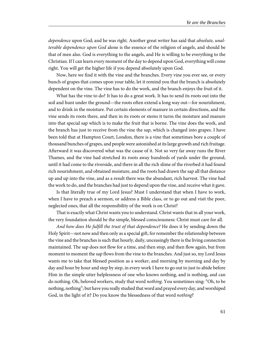dependence upon God; and he was right. Another great writer has said that absolute, unalterable dependence upon God alone is the essence of the religion of angels, and should be that of men also. God is everything to the angels, and He is willing to be everything to the Christian. If I can learn every moment of the day to depend upon God, everything will come right. You will get the higher life if you depend absolutely upon God.

Now, here we find it with the vine and the branches. Every vine you ever see, or every bunch of grapes that comes upon your table, let it remind you that the branch is absolutely dependent on the vine. The vine has to do the work, and the branch enjoys the fruit of it.

What has the vine to do? It has to do a great work. It has to send its roots out into the soil and hunt under the ground—the roots often extend a long way out—for nourishment, and to drink in the moisture. Put certain elements of manure in certain directions, and the vine sends its roots there, and then in its roots or stems it turns the moisture and manure into that special sap which is to make the fruit that is borne. The vine does the work, and the branch has just to receive from the vine the sap, which is changed into grapes. I have been told that at Hampton Court, London, there is a vine that sometimes bore a couple of thousand bunches of grapes, and people were astonished at its large growth and rich fruitage. Afterward it was discovered what was the cause of it. Not so very far away runs the River Thames, and the vine had stretched its roots away hundreds of yards under the ground, until it had come to the riverside, and there in all the rich slime of the riverbed it had found rich nourishment, and obtained moisture, and the roots had drawn the sap all that distance up and up into the vine, and as a result there was the abundant, rich harvest. The vine had the work to do, and the branches had just to depend upon the vine, and receive what it gave.

Is that literally true of my Lord Jesus? Must I understand that when I have to work, when I have to preach a sermon, or address a Bible class, or to go out and visit the poor, neglected ones, that all the responsibility of the work is on Christ?

That is exactly what Christ wants you to understand. Christ wants that in all your work, the very foundation should be the simple, blessed consciousness: Christ must care for all.

And how does He fulfill the trust of that dependence? He does it by sending down the Holy Spirit—not now and then only as a special gift, for remember the relationship between the vine and the branches is such that hourly, daily, unceasingly there is the living connection maintained. The sap does not flow for a time, and then stop, and then flow again, but from moment to moment the sap flows from the vine to the branches. And just so, my Lord Jesus wants me to take that blessed position as a worker, and morning by morning and day by day and hour by hour and step by step, in every work I have to go out to just to abide before Him in the simple utter helplessness of one who knows nothing, and is nothing, and can do nothing. Oh, beloved workers, study that word nothing. You sometimes sing: "Oh, to be nothing, nothing"; but have you really studied that word and prayed every day, and worshiped God, in the light of it? Do you know the blessedness of that word nothing?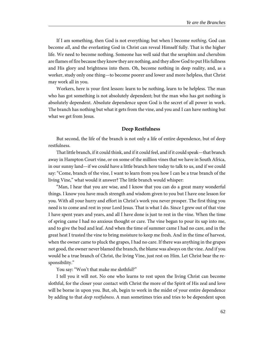If I am something, then God is not everything; but when I become nothing, God can become all, and the everlasting God in Christ can reveal Himself fully. That is the higher life. We need to become nothing. Someone has well said that the seraphim and cherubim are flames of fire because they know they are nothing, and they allow God to put His fullness and His glory and brightness into them. Oh, become nothing in deep reality, and, as a worker, study only one thing—to become poorer and lower and more helpless, that Christ may work all in you.

Workers, here is your first lesson: learn to be nothing, learn to be helpless. The man who has got something is not absolutely dependent; but the man who has got nothing is absolutely dependent. Absolute dependence upon God is the secret of all power in work. The branch has nothing but what it gets from the vine, and you and I can have nothing but what we get from Jesus.

#### **Deep Restfulness**

But second, the life of the branch is not only a life of entire dependence, but of deep restfulness.

That little branch, if it could think, and if it could feel, and if it could speak—that branch away in Hampton Court vine, or on some of the million vines that we have in South Africa, in our sunny land—if we could have a little branch here today to talk to us, and if we could say: "Come, branch of the vine, I want to learn from you how I can be a true branch of the living Vine," what would it answer? The little branch would whisper:

"Man, I hear that you are wise, and I know that you can do a great many wonderful things. I know you have much strength and wisdom given to you but I have one lesson for you. With all your hurry and effort in Christ's work you never prosper. The first thing you need is to come and rest in your Lord Jesus. That is what I do. Since I grew out of that vine I have spent years and years, and all I have done is just to rest in the vine. When the time of spring came I had no anxious thought or care. The vine began to pour its sap into me, and to give the bud and leaf. And when the time of summer came I had no care, and in the great heat I trusted the vine to bring moisture to keep me fresh. And in the time of harvest, when the owner came to pluck the grapes, I had no care. If there was anything in the grapes not good, the owner never blamed the branch, the blame was always on the vine. And if you would be a true branch of Christ, the living Vine, just rest on Him. Let Christ bear the responsibility."

You say: "Won't that make me slothful?"

I tell you it will not. No one who learns to rest upon the living Christ can become slothful, for the closer your contact with Christ the more of the Spirit of His zeal and love will be borne in upon you. But, oh, begin to work in the midst of your entire dependence by adding to that *deep restfulness*. A man sometimes tries and tries to be dependent upon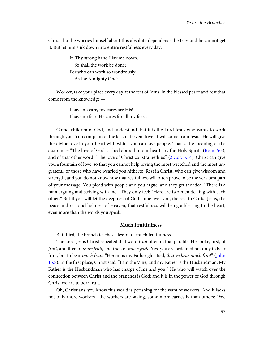Christ, but he worries himself about this absolute dependence; he tries and he cannot get it. But let him sink down into entire restfulness every day.

> In Thy strong hand I lay me down. So shall the work be done; For who can work so wondrously As the Almighty One?

Worker, take your place every day at the feet of Jesus, in the blessed peace and rest that come from the knowledge —

> I have no care, my cares are His! I have no fear, He cares for all my fears.

Come, children of God, and understand that it is the Lord Jesus who wants to work through you. You complain of the lack of fervent love. It will come from Jesus. He will give the divine love in your heart with which you can love people. That is the meaning of the assurance: "The love of God is shed abroad in our hearts by the Holy Spirit" ([Rom. 5:5\)](http://www.ccel.org/study/Bible:Rom.5.5); and of that other word: "The love of Christ constraineth us" ([2 Cor. 5:14](http://www.ccel.org/study/Bible:2Cor.5.14)). Christ can give you a fountain of love, so that you cannot help loving the most wretched and the most ungrateful, or those who have wearied you hitherto. Rest in Christ, who can give wisdom and strength, and you do not know how that restfulness will often prove to be the very best part of your message. You plead with people and you argue, and they get the idea: "There is a man arguing and striving with me." They only feel: "Here are two men dealing with each other." But if you will let the deep rest of God come over you, the rest in Christ Jesus, the peace and rest and holiness of Heaven, that restfulness will bring a blessing to the heart, even more than the words you speak.

# **Much Fruitfulness**

But third, the branch teaches a lesson of much fruitfulness.

The Lord Jesus Christ repeated that word *fruit* often in that parable. He spoke, first, of fruit, and then of more fruit, and then of much fruit. Yes, you are ordained not only to bear fruit, but to bear much fruit. "Herein is my Father glorified, that ye bear much fruit" ([John](http://www.ccel.org/study/Bible:John.15.8) [15:8](http://www.ccel.org/study/Bible:John.15.8)). In the first place, Christ said: "I am the Vine, and my Father is the Husbandman. My Father is the Husbandman who has charge of me and you." He who will watch over the connection between Christ and the branches is God; and it is in the power of God through Christ we are to bear fruit.

Oh, Christians, you know this world is perishing for the want of workers. And it lacks not only more workers—the workers are saying, some more earnestly than others: "We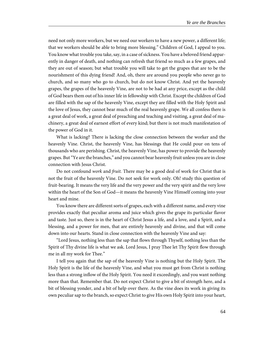need not only more workers, but we need our workers to have a new power, a different life; that we workers should be able to bring more blessing." Children of God, I appeal to you. You know what trouble you take, say, in a case of sickness. You have a beloved friend apparently in danger of death, and nothing can refresh that friend so much as a few grapes, and they are out of season; but what trouble you will take to get the grapes that are to be the nourishment of this dying friend! And, oh, there are around you people who never go to church, and so many who go to church, but do not know Christ. And yet the heavenly grapes, the grapes of the heavenly Vine, are not to be had at any price, except as the child of God bears them out of his inner life in fellowship with Christ. Except the children of God are filled with the sap of the heavenly Vine, except they are filled with the Holy Spirit and the love of Jesus, they cannot bear much of the real heavenly grape. We all confess there is a great deal of work, a great deal of preaching and teaching and visiting, a great deal of machinery, a great deal of earnest effort of every kind; but there is not much manifestation of the power of God in it.

What is lacking? There is lacking the close connection between the worker and the heavenly Vine. Christ, the heavenly Vine, has blessings that He could pour on tens of thousands who are perishing. Christ, the heavenly Vine, has power to provide the heavenly grapes. But "Ye are the branches," and you cannot bear heavenly fruit unless you are in close connection with Jesus Christ.

Do not confound work and fruit. There may be a good deal of work for Christ that is not the fruit of the heavenly Vine. Do not seek for work only. Oh! study this question of fruit-bearing. It means the very life and the very power and the very spirit and the very love within the heart of the Son of God—it means the heavenly Vine Himself coming into your heart and mine.

You know there are different sorts of grapes, each with a different name, and every vine provides exactly that peculiar aroma and juice which gives the grape its particular flavor and taste. Just so, there is in the heart of Christ Jesus a life, and a love, and a Spirit, and a blessing, and a power for men, that are entirely heavenly and divine, and that will come down into our hearts. Stand in close connection with the heavenly Vine and say:

"Lord Jesus, nothing less than the sap that flows through Thyself, nothing less than the Spirit of Thy divine life is what we ask. Lord Jesus, I pray Thee let Thy Spirit flow through me in all my work for Thee."

I tell you again that the sap of the heavenly Vine is nothing but the Holy Spirit. The Holy Spirit is the life of the heavenly Vine, and what you must get from Christ is nothing less than a strong inflow of the Holy Spirit. You need it exceedingly, and you want nothing more than that. Remember that. Do not expect Christ to give a bit of strength here, and a bit of blessing yonder, and a bit of help over there. As the vine does its work in giving its own peculiar sap to the branch, so expect Christ to give His own Holy Spirit into your heart,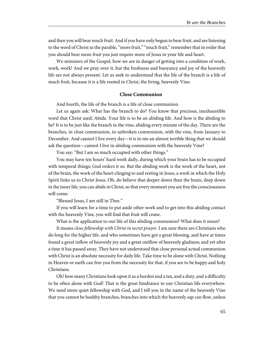and then you will bear much fruit. And if you have only begun to bear fruit, and are listening to the word of Christ in the parable, "more fruit," "much fruit," remember that in order that you should bear more fruit you just require more of Jesus in your life and heart.

We ministers of the Gospel, how we are in danger of getting into a condition of work, work, work! And we pray over it, but the freshness and buoyancy and joy of the heavenly life are not always present. Let us seek to understand that the life of the branch is a life of much fruit, because it is a life rooted in Christ, the living, heavenly Vine.

#### **Close Communion**

And fourth, the life of the branch is a life of close communion.

Let us again ask: What has the branch to do? You know that precious, inexhaustible word that Christ used: Abide. Your life is to be an abiding life. And how is the abiding to be? It is to be just like the branch in the vine, abiding every minute of the day. There are the branches, in close communion, in unbroken communion, with the vine, from January to December. And cannot I live every day—it is to me an almost terrible thing that we should ask the question—cannot I live in abiding communion with the heavenly Vine?

You say: "But I am so much occupied with other things."

You may have ten hours' hard work daily, during which your brain has to be occupied with temporal things; God orders it so. But the abiding work is the work of the heart, not of the brain, the work of the heart clinging to and resting in Jesus, a work in which the Holy Spirit links us to Christ Jesus. Oh, do believe that deeper down than the brain, deep down in the inner life, you can abide in Christ, so that every moment you are free the consciousness will come:

"Blessed Jesus, I am still in Thee."

If you will learn for a time to put aside other work and to get into this abiding contact with the heavenly Vine, you will find that fruit will come.

What is the application to our life of this abiding communion? What does it mean?

It means close fellowship with Christ in secret prayer. I am sure there are Christians who do long for the higher life, and who sometimes have got a great blessing, and have at times found a great inflow of heavenly joy and a great outflow of heavenly gladness; and yet after a time it has passed away. They have not understood that close personal actual communion with Christ is an absolute necessity for daily life. Take time to be alone with Christ. Nothing in Heaven or earth can free you from the necessity for that, if you are to be happy and holy Christians.

Oh! how many Christians look upon it as a burden and a tax, and a duty, and a difficulty to be often alone with God! That is the great hindrance to our Christian life everywhere. We need more quiet fellowship with God, and I tell you in the name of the heavenly Vine that you cannot be healthy branches, branches into which the heavenly sap can flow, unless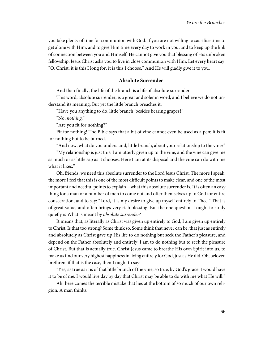you take plenty of time for communion with God. If you are not willing to sacrifice time to get alone with Him, and to give Him time every day to work in you, and to keep up the link of connection between you and Himself, He cannot give you that blessing of His unbroken fellowship. Jesus Christ asks you to live in close communion with Him. Let every heart say: "O, Christ, it is this I long for, it is this I choose." And He will gladly give it to you.

# **Absolute Surrender**

And then finally, the life of the branch is a life of absolute surrender.

This word, absolute surrender, is a great and solemn word, and I believe we do not understand its meaning. But yet the little branch preaches it.

"Have you anything to do, little branch, besides bearing grapes?"

"No, nothing."

"Are you fit for nothing?"

Fit for nothing! The Bible says that a bit of vine cannot even be used as a pen; it is fit for nothing but to be burned.

"And now, what do you understand, little branch, about your relationship to the vine?"

"My relationship is just this: I am utterly given up to the vine, and the vine can give me as much or as little sap as it chooses. Here I am at its disposal and the vine can do with me what it likes."

Oh, friends, we need this absolute surrender to the Lord Jesus Christ. The more I speak, the more I feel that this is one of the most difficult points to make clear, and one of the most important and needful points to explain—what this absolute surrender is. It is often an easy thing for a man or a number of men to come out and offer themselves up to God for entire consecration, and to say: "Lord, it is my desire to give up myself entirely to Thee." That is of great value, and often brings very rich blessing. But the one question I ought to study quietly is What is meant by absolute surrender?

It means that, as literally as Christ was given up entirely to God, I am given up entirely to Christ. Is that too strong? Some think so. Some think that never can be; that just as entirely and absolutely as Christ gave up His life to do nothing but seek the Father's pleasure, and depend on the Father absolutely and entirely, I am to do nothing but to seek the pleasure of Christ. But that is actually true. Christ Jesus came to breathe His own Spirit into us, to make us find our very highest happiness in living entirely for God, just as He did. Oh, beloved brethren, if that is the case, then I ought to say:

"Yes, as true as it is of that little branch of the vine, so true, by God's grace, I would have it to be of me. I would live day by day that Christ may be able to do with me what He will."

Ah! here comes the terrible mistake that lies at the bottom of so much of our own religion. A man thinks: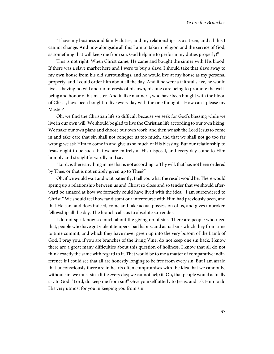"I have my business and family duties, and my relationships as a citizen, and all this I cannot change. And now alongside all this I am to take in religion and the service of God, as something that will keep me from sin. God help me to perform my duties properly!"

This is not right. When Christ came, He came and bought the sinner with His blood. If there was a slave market here and I were to buy a slave, I should take that slave away to my own house from his old surroundings, and he would live at my house as my personal property, and I could order him about all the day. And if he were a faithful slave, he would live as having no will and no interests of his own, his one care being to promote the wellbeing and honor of his master. And in like manner I, who have been bought with the blood of Christ, have been bought to live every day with the one thought—How can I please my Master?

Oh, we find the Christian life so difficult because we seek for God's blessing while we live in our own will. We should be glad to live the Christian life according to our own liking. We make our own plans and choose our own work, and then we ask the Lord Jesus to come in and take care that sin shall not conquer us too much, and that we shall not go too far wrong; we ask Him to come in and give us so much of His blessing. But our relationship to Jesus ought to be such that we are entirely at His disposal, and every day come to Him humbly and straightforwardly and say:

"Lord, is there anything in me that is not according to Thy will, that has not been ordered by Thee, or that is not entirely given up to Thee?"

Oh, if we would wait and wait patiently, I tell you what the result would be. There would spring up a relationship between us and Christ so close and so tender that we should afterward be amazed at how we formerly could have lived with the idea: "I am surrendered to Christ." We should feel how far distant our intercourse with Him had previously been, and that He can, and does indeed, come and take actual possession of us, and gives unbroken fellowship all the day. The branch calls us to absolute surrender.

I do not speak now so much about the giving up of sins. There are people who need that, people who have got violent tempers, bad habits, and actual sins which they from time to time commit, and which they have never given up into the very bosom of the Lamb of God. I pray you, if you are branches of the living Vine, do not keep one sin back. I know there are a great many difficulties about this question of holiness. I know that all do not think exactly the same with regard to it. That would be to me a matter of comparative indifference if I could see that all are honestly longing to be free from every sin. But I am afraid that unconsciously there are in hearts often compromises with the idea that we cannot be without sin, we must sin a little every day; we cannot help it. Oh, that people would actually cry to God: "Lord, do keep me from sin!" Give yourself utterly to Jesus, and ask Him to do His very utmost for you in keeping you from sin.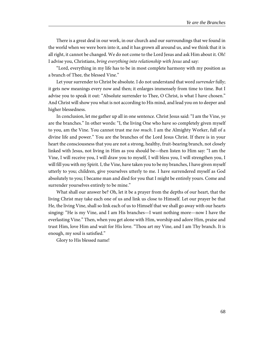There is a great deal in our work, in our church and our surroundings that we found in the world when we were born into it, and it has grown all around us, and we think that it is all right, it cannot be changed. We do not come to the Lord Jesus and ask Him about it. Oh! I advise you, Christians, bring everything into relationship with Jesus and say:

"Lord, everything in my life has to be in most complete harmony with my position as a branch of Thee, the blessed Vine."

Let your surrender to Christ be absolute. I do not understand that word surrender fully; it gets new meanings every now and then; it enlarges immensely from time to time. But I advise you to speak it out: "Absolute surrender to Thee, O Christ, is what I have chosen." And Christ will show you what is not according to His mind, and lead you on to deeper and higher blessedness.

In conclusion, let me gather up all in one sentence. Christ Jesus said: "I am the Vine, ye are the branches." In other words: "I, the living One who have so completely given myself to you, am the Vine. You cannot trust me too much. I am the Almighty Worker, full of a divine life and power." You are the branches of the Lord Jesus Christ. If there is in your heart the consciousness that you are not a strong, healthy, fruit-bearing branch, not closely linked with Jesus, not living in Him as you should be—then listen to Him say: "I am the Vine, I will receive you, I will draw you to myself, I will bless you, I will strengthen you, I will fill you with my Spirit. I, the Vine, have taken you to be my branches, I have given myself utterly to you; children, give yourselves utterly to me. I have surrendered myself as God absolutely to you; I became man and died for you that I might be entirely yours. Come and surrender yourselves entirely to be mine."

What shall our answer be? Oh, let it be a prayer from the depths of our heart, that the living Christ may take each one of us and link us close to Himself. Let our prayer be that He, the living Vine, shall so link each of us to Himself that we shall go away with our hearts singing: "He is my Vine, and I am His branches—I want nothing more—now I have the everlasting Vine." Then, when you get alone with Him, worship and adore Him, praise and trust Him, love Him and wait for His love. "Thou art my Vine, and I am Thy branch. It is enough, my soul is satisfied."

Glory to His blessed name!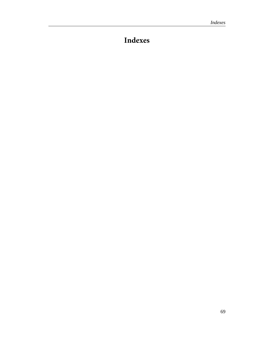## **Indexes**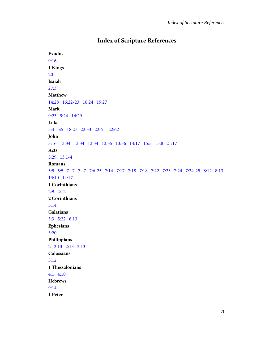## **Index of Scripture References**

**Exodus** [9:16](#page-7-0) **1 Kings** [20](#page-5-0) **Isaiah** [27:3](#page-58-0) **Matthew** [14:28](#page-30-0)   [16:22-23](#page-31-0) [16:24](#page-31-1) [19:27](#page-30-1) **Mark** [9:23](#page-7-1) [9:24](#page-7-2) [14:29](#page-31-2) **Luke** [5:4](#page-30-2) [5:5](#page-30-2)   [18:27](#page-35-0)   [22:33](#page-31-2)   [22:61](#page-30-3)   [22:62](#page-30-3) **John** [3:16](#page-15-0) [13:34](#page-17-0)  [13:34](#page-17-1)   [13:34](#page-56-0)   [13:35](#page-15-1)   [13:36](#page-30-4)   [14:17](#page-26-0) [15:5](#page-63-0)   [15:8](#page-66-0)   [21:17](#page-32-0) **Acts** [5:29](#page-33-0) [13:1-4](#page-23-0) **Romans** [5:5](#page-16-0)  [5:5](#page-66-1)   [7](#page-36-0) [7](#page-36-1)   [7](#page-36-2)   [7](#page-43-0) [7:6-25](#page-42-0)  [7:14](#page-43-1)   [7:17](#page-41-0)   [7:18](#page-10-0) [7:18](#page-42-1) [7:22](#page-41-1)   [7:23](#page-43-2)   [7:24](#page-43-3) [7:24-25](#page-41-2)   [8:12](#page-41-3) [8:13](#page-45-0) [13:10](#page-13-0)   [14:17](#page-46-0) **1 Corinthians** [2:9](#page-9-0) [2:12](#page-26-1) **2 Corinthians** [5:14](#page-66-2) **Galatians** [3:3](#page-28-0) [5:22](#page-13-1)   [6:13](#page-49-0) **Ephesians** [3:20](#page-57-0) **Philippians** [2](#page-36-3) [2:13](#page-6-0) [2:13](#page-36-4)   [2:13](#page-58-1) **Colossians** [3:12](#page-18-0) **1 Thessalonians** [4:1](#page-47-0) [4:10](#page-47-0) **Hebrews** [9:14](#page-8-0) **1 Peter**